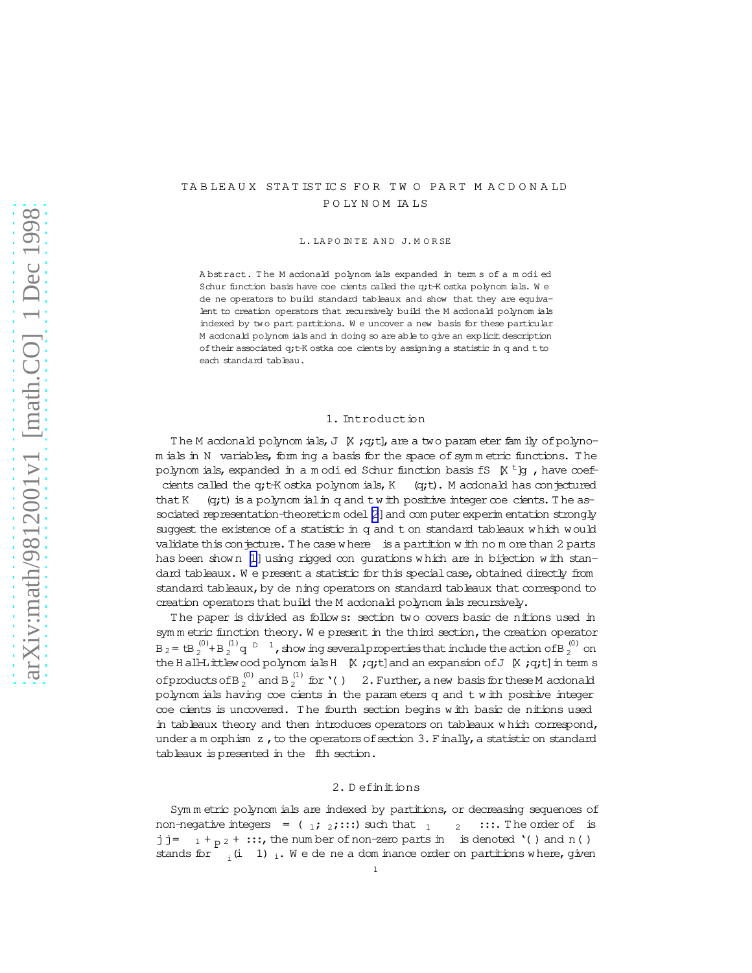# TA B LEAUX STAT IST ICS FOR TWO PART MACDONALD P O LY N O M IA LS

L. LA POINTE AND J. MORSE

Abstract. The M acdonald polynom ials expanded in term s of a modied Schur function basis have coe cients called the q;t-K ostka polynom ials. W e dene operators to build standard tableaux and show that they are equivalent to creation operators that recursively build the M acdonald polynom ials indexed by tw o part partitions. W e uncover a new basis for these particular M acdonald polynom ials and in doing so are able to give an explicit description oftheir associated q;t-K ostka coecients by assigning a statistic in q and tto each standard tableau.

# 1. Introduction

The M acdonald polynom ials, J  $K$ ; q;t], are a two param eter fam ily of polynom ials in N variables, form ing a basis for the space of symmetric functions. The polynom ials, expanded in a m odi ed Schur function basis fS  $\,$  K  $\,$  t  $\,$ lg , have coefcients called the q;t-K ostka polynom ials,  $K$  (q;t). M acdonald has conjectured that K  $(q; t)$  is a polynom ial in q and twith positive integer  $\infty$  cients. The as-sociated representation-theoreticm odel [\[2](#page-18-0)] and com puter experim entation strongly suggest the existence of a statistic in q and t on standard tableaux w hich would validate this conjecture. The case w here is a partition w ith no m ore than 2 parts has been shown [\[1\]](#page-18-0) using rigged con gurations which are in bijection with standard tableaux. We present a statistic for this special case, obtained directly from standard tableaux, by de ning operators on standard tableaux that correspond to creation operators that build the M acdonald polynom ials recursively.

The paper is divided as follows: section two covers basic de nitions used in sym m etric function theory. We present in the third section, the creation operator B <sub>2</sub> = tB  $_2^{(0)}$ +B  $_2^{(1)}$  q  $_2$   $_3$   $_1$ , show ing several properties that include the action of B  $_2^{(0)}$  on the Hall-Littlewood polynom ials H  $K$ ;q;t]and an expansion of J  $K$ ;q;t] in term s ofproducts of B  $_2^{(0)}$  and B  $_2^{(1)}$  for  $\lq$  ( )  $-$  2. Further, a new basis for these M acdonald polynom ials having coecients in the param eters q and t w ith positive integer coe cients is uncovered. The fourth section begins with basic de nitions used in tableaux theory and then introduces operators on tableaux w hich correspond, under a m orphism  $z$ , to the operators of section 3. Finally, a statistic on standard tableaux is presented in the fith section.

## 2. D efinitions

Sym m etric polynom ials are indexed by partitions, or decreasing sequences of non-negative integers =  $(1;2;:::):$  such that  $1 \t2 \t:::$  The order of is j j =  $1 + p^2 + \cdots$ , the num ber of non-zero parts in is denoted '( ) and n( ) stands for  $i_i$  (i 1) i. We de ne a dom inance order on partitions where, given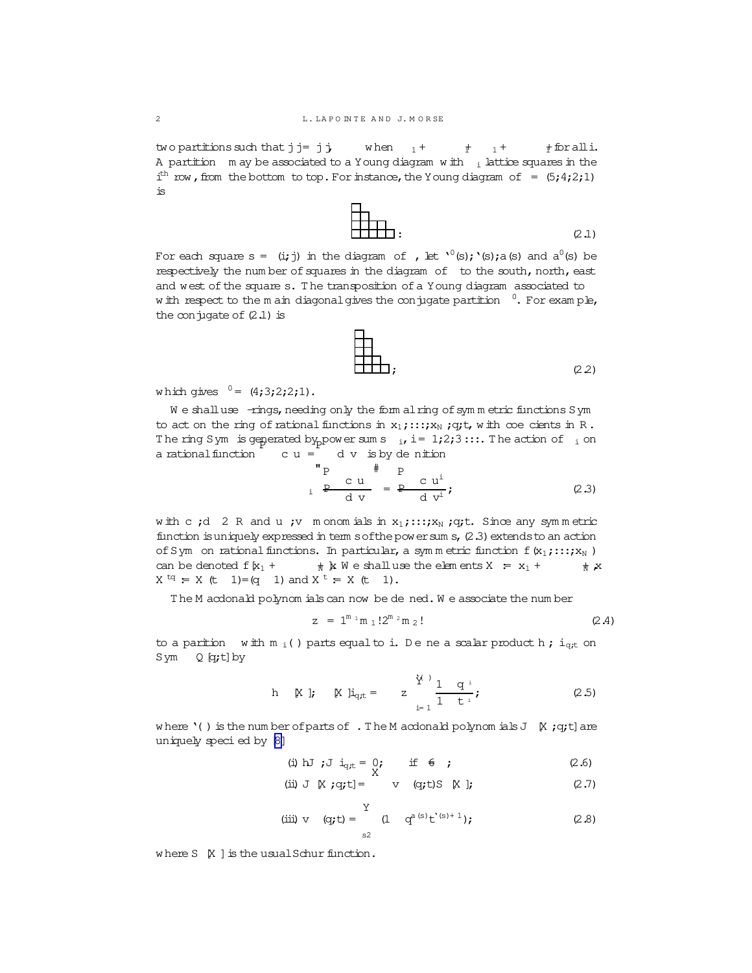two partitions such that  $j = j$   $j$  when  $1 +$   $\frac{1}{l}$   $\frac{1}{l}$   $\frac{1}{l}$   $\frac{1}{l}$   $\frac{1}{l}$   $\frac{1}{l}$   $\frac{1}{l}$   $\frac{1}{l}$   $\frac{1}{l}$   $\frac{1}{l}$   $\frac{1}{l}$   $\frac{1}{l}$   $\frac{1}{l}$   $\frac{1}{l}$   $\frac{1}{l}$   $\frac{1}{l}$   $\frac{1}{l}$   $\frac{1}{$ A partition m ay be associated to a Young diagram with  $\frac{1}{1}$  lattice squares in the i<sup>th</sup> row, from the bottom to top. For instance, the Young diagram of =  $(5,4;2;1)$ is

| └┵                                                                                                                                                                                                                                                                                                                                                                                                                                                       |       |
|----------------------------------------------------------------------------------------------------------------------------------------------------------------------------------------------------------------------------------------------------------------------------------------------------------------------------------------------------------------------------------------------------------------------------------------------------------|-------|
| $\overline{\text{HH}}$ $\overline{\text{H}}$ $\overline{\text{H}}$ $\overline{\text{H}}$ $\overline{\text{H}}$ $\overline{\text{H}}$ $\overline{\text{H}}$ $\overline{\text{H}}$ $\overline{\text{H}}$ $\overline{\text{H}}$ $\overline{\text{H}}$ $\overline{\text{H}}$ $\overline{\text{H}}$ $\overline{\text{H}}$ $\overline{\text{H}}$ $\overline{\text{H}}$ $\overline{\text{H}}$ $\overline{\text{H}}$ $\overline{\text{H}}$ $\overline{\text{H}}$ | (2.1) |

For each square s =  $(i,j)$  in the diagram of , let  $\iota^0(s); \iota(s)$  and  $a^0(s)$  be respectively the num ber of squares in the diagram of to the south, north, east and west of the square s. The transposition of a Young diagram associated to w ith respect to the m ain diagonal gives the conjugate partition  $0$ . For example, the conjugate of  $(2.1)$  is

| 日                                                                              |       |
|--------------------------------------------------------------------------------|-------|
|                                                                                |       |
| $\begin{aligned} & \begin{aligned} & \text{HH}_1, \end{aligned} \end{aligned}$ |       |
|                                                                                | (2.2) |
|                                                                                |       |

which gives  $0 = (4;3;2;2;1)$ .

We shalluse -rings, needing only the form alring of symmetric functions Sym to act on the ring of rational functions in  $x_1$ ;:::; $x_N$ ; q;t, w ith coe cients in R. The ring Sym is geperated by power sum s  $\frac{1}{2}$ , i = 1;2;3:::. The action of  $\frac{1}{2}$  on a rational function  $\overline{c} u = d v$  is by denition

$$
\begin{array}{c}\n\text{P} & \text{H} & \text{P} \\
\text{C} & \text{U} & \text{I} \\
\text{A} & \text{V}\n\end{array} = \begin{array}{c}\n\text{P} & \text{C} & \text{U}^{\text{i}} \\
\text{P} & \text{A} & \text{V}^{\text{i}} \\
\text{A} & \text{V}^{\text{i}}\n\end{array} \tag{2.3}
$$

w ith c ;d 2 R and u ;v m onom ials in  $x_1$ ;::; $x_N$ ;q;t. Since any symmetric function is uniquely expressed in term softhe power sum s,  $(2.3)$  extends to an action of Sym on rational functions. In particular, a symmetric function f(x<sub>1</sub>;:::;x<sub>N</sub>) can be denoted f $[x_1 + \quad \phi \times W$  e shalluse the elem ents  $X = x_1 + \phi \times X$  $X^{tq} = X (t 1) = (q 1)$  and  $X^{t} = X (t 1)$ .

The M acdonald polynom ials can now be dened. We associate the number

$$
z = 1^{m_1} m_1! 2^{m_2} m_2!
$$
 (2.4)

to a parition with  $m_i$  () parts equal to i. De ne a scalar product h; i<sub>gt</sub> on  $Sym Q [q; t] by$ 

h [X]; [X] 
$$
i_{q,t} = z \frac{Y^{i}}{1} \frac{1}{1} \frac{q^{i}}{t^{i}}
$$
; (2.5)

where '( ) is the num ber of parts of . The M acdonald polynom ials  $J \ K$ ; q;t] are uniquely specied by [\[8\]](#page-18-0)

(i) 
$$
\text{LJ } \text{i}_{\text{q,t}} = \begin{cases} 0; & \text{if } \theta \text{ } ; \end{cases}
$$
 (2.6)

(ii) J 
$$
\times
$$
 q;t] =  $\vee$  (q;t)S  $\times$ ]; (2.7)

(iii) v (q;t) = 
$$
\int_{s2}^{Y} (1 + q^{a(s)}t^{s+1})
$$
; (2.8)

where  $S[X]$  is the usual Schur function.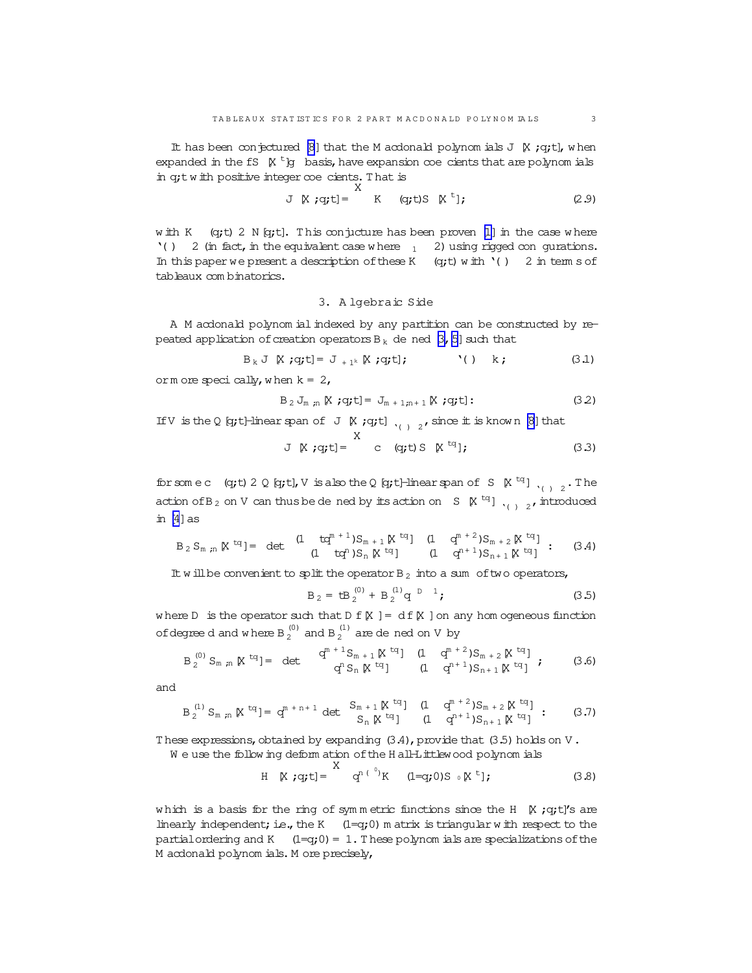It has been conjectured [\[8](#page-18-0)] that the M acdonald polynom ials J  $[$ K ;q;t], w hen expanded in the fS  $\,$  K  $\,$  t  $\,$  lg basis, have expansion  $\infty$  e cients that are polynom ials in q;tw ith positive integer coecients.T hat is X

$$
J K; q; t] = K (qt)S Kt]; \qquad (2.9)
$$

w ith K  $(q; t)$  2 N  $(q; t)$ . This conjucture has been proven [\[1\]](#page-18-0) in the case where '( ) 2 (in fact, in the equivalent case where  $1 - 2$ ) using rigged con gurations. In this paper we present a description of these K  $(q; t)$  with  $'( )$  2 in term s of tableaux com binatorics.

# 3. A lgebraic Side

A M acdonald polynom ial indexed by any partition can be constructed by repeated application of creation operators  $B_k$  de ned  $[3, 5]$  such that

$$
B_k J K; q; t = J_{+1^k} K; q; t]; \qquad ( ) k; \qquad (3.1)
$$

orm ore specically, when  $k = 2$ ,

$$
B_2 J_{m,n} \times \mathbf{j} q \mathbf{j} = J_{m+1,n+1} \times \mathbf{j} q \mathbf{j} \mathbf{k} \tag{3.2}
$$

If V is the Q  $[q; t]$ -linear span of J  $\kappa$  ; q;t]  $\frac{1}{(1 + q)^2}$ , since it is known  $\lbrack \beta \rbrack$  that

$$
J \times q; t] = \begin{cases} X & (1, 2) \\ C & (q; t) \end{cases} S \times \begin{cases} t^q \\ t^q \end{cases}; \tag{3.3}
$$

for some c (q;t) 2 Q [q;t], V is also the Q [q;t]-linear span of S  $\,$  K <sup>tq</sup>]  $\,$ <sub>( ) 2</sub>. The action ofB <sup>2</sup> on V can thusbe dened by itsaction on S [X tq] '( ) <sup>2</sup> ,introduced in  $[4]$  as

$$
B_2 S_{m,n} \times {}^{tq} = \det \begin{array}{cc} (1 + tq^{m+1})S_{m+1} \times {}^{tq} & (1 + q^{m+2})S_{m+2} \times {}^{tq}] \\ (1 + tq^{n})S_{n} \times {}^{tq}] & (1 + q^{n+1})S_{n+1} \times {}^{tq}] \end{array} \tag{3.4}
$$

It will be convenient to split the operator  $B_2$  into a sum of two operators,

$$
B_2 = tB_2^{(0)} + B_2^{(1)}q^{D-1};
$$
 (3.5)

where D is the operator such that  $D f[K] = df[K]$  on any hom ogeneous function of degree d and where B  $_2^{(0)}$  and B  $_2^{(1)}$  are de ned on V by

$$
B_2^{(0)} S_{m,n} \times {}^{tq} = \det \begin{array}{cc} q^{m+1} S_{m+1} \times {}^{tq} & (1 \ q^{m+2}) S_{m+2} \times {}^{tq} \\ q^{n} S_n \times {}^{tq} & (1 \ q^{n+1}) S_{n+1} \times {}^{tq} \end{array} ; \tag{3.6}
$$

and

$$
B_2^{(1)} S_{m,n} \times {}^{tq} = q^{m+n+1} \det \begin{array}{cc} S_{m+1} \times {}^{tq} & (1 \ q^{m+2}) S_{m+2} \times {}^{tq} \\ S_n \times {}^{tq} & (1 \ q^{n+1}) S_{n+1} \times {}^{tq} \end{array} \tag{3.7}
$$

These expressions, obtained by expanding  $(3.4)$ , provide that  $(3.5)$  holds on V.

W e use the follow ing deform ation ofthe H all-Littlewood polynom ials

$$
H K q;;t] = q^{n(^{0)}K} (1=q;0)S \circ K^{t}; \qquad (3.8)
$$

which is a basis for the ring of symmetric functions since the H  $\,$  K ;q;t]'s are linearly independent; i.e., the K  $(1=q;0)$  m atrix is triangular with respect to the partial ordering and K  $(1-q;0)=1$ . These polynom ials are specializations of the M acdonald polynom ials.M ore precisely,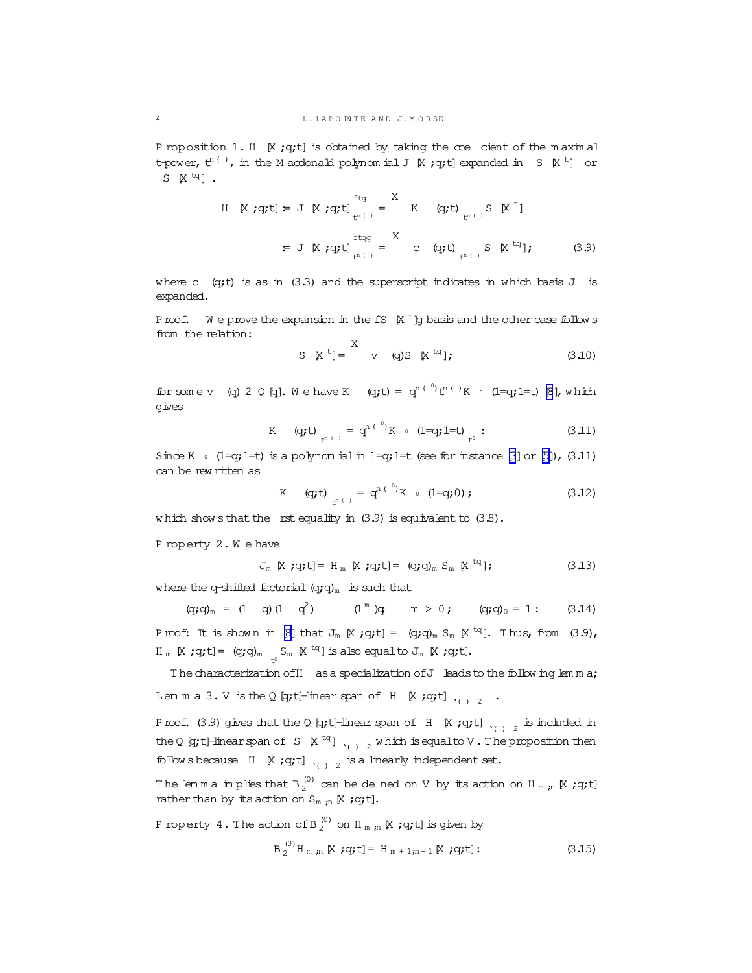P roposition 1. H  $K$ ; q;t] is obtained by taking the  $\infty$ e cient of the m axim al t-power,  $t^{n\,(\,\cdot\,)}$ , in the M acdonald polynom ial J  $\,$  K ;q;t] expanded in  $\,$  S  $\,$  K  $^t$  ]  $\,$  or S  $\mathbb{K}$  <sup>tq</sup>].

$$
\begin{array}{lll}\n\text{H} & \mathbb{X} \text{ :qt } \mathbf{I} = \mathbf{J} \mathbf{K} \text{ :qt } \mathbf{I} \text{ :q } \mathbf{I} = \mathbf{I} \text{ :q } \mathbf{I} \text{ :q } \mathbf{I} \text{ :q } \mathbf{I} \text{ :q } \mathbf{I} \text{ :q } \mathbf{I} \text{ :q } \mathbf{I} \text{ :q } \mathbf{I} \text{ :q } \mathbf{I} \text{ :q } \mathbf{I} \text{ :q } \mathbf{I} \text{ :q } \mathbf{I} \text{ :q } \mathbf{I} \text{ :q } \mathbf{I} \text{ :q } \mathbf{I} \text{ :q } \mathbf{I} \text{ :q } \mathbf{I} \text{ :q } \mathbf{I} \text{ :q } \mathbf{I} \text{ :q } \mathbf{I} \text{ :q } \mathbf{I} \text{ :q } \mathbf{I} \text{ :q } \mathbf{I} \text{ :q } \mathbf{I} \text{ :q } \mathbf{I} \text{ :q } \mathbf{I} \text{ :q } \mathbf{I} \text{ :q } \mathbf{I} \text{ :q } \mathbf{I} \text{ :q } \mathbf{I} \text{ :q } \mathbf{I} \text{ :q } \mathbf{I} \text{ :q } \mathbf{I} \text{ :q } \mathbf{I} \text{ :q } \mathbf{I} \text{ :q } \mathbf{I} \text{ :q } \mathbf{I} \text{ :q } \mathbf{I} \text{ :q } \mathbf{I} \text{ :q } \mathbf{I} \text{ :q } \mathbf{I} \text{ :q } \mathbf{I} \text{ :q } \mathbf{I} \text{ :q } \mathbf{I} \text{ :q } \mathbf{I} \text{ :q } \mathbf{I} \text{ :q } \mathbf{I} \text{ :q } \mathbf{I} \text{ :q } \mathbf{I} \text{ :q } \mathbf{I} \text{ :q } \mathbf{I} \text{ :q } \mathbf{I} \text{ :q } \mathbf{I} \text{ :q } \mathbf{I} \text{ :q } \mathbf{I} \text{ :q } \mathbf{I} \text{ :q } \mathbf{I} \text{ :q } \mathbf
$$

where c  $(q; t)$  is as in (3.3) and the superscript indicates in which basis J is expanded.

Proof. We prove the expansion in the fS  $\,$  K  $\,$  <sup>t</sup> ]g basis and the other case follow s from the relation:  $\overline{a}$ 

$$
S \quad K^t = \begin{cases} \nX & \text{if } t \leq 1; \\
X & \text{if } t \leq 1; \\
Y & \text{if } t \leq 1.\n\end{cases}
$$

for some v (q) 2 Q [q]. We have K (q;t) =  $q^{n(\theta)}t^{n(\theta)}K$  (1=q;1=t) [\[8](#page-18-0)], which gives

K (q;t) 
$$
_{t^{n+1}} = q^{n+1} K \cdot (1-q; 1=t) \bigg|_{t^0} : \tag{3.11}
$$

Since K  $\circ$  (1=q;1=t) is a polynom ial in 1=q;1=t (see for instance [\[3](#page-18-0)] or [\[5\]](#page-18-0)), (3.11) can be rew ritten as

K (q;t) 
$$
_{t^{n+1}} = q^{n+0} K \cdot (1=q;0); \qquad (3.12)
$$

which show s that the rst equality in  $(3.9)$  is equivalent to  $(3.8)$ .

P roperty 2. W e have

$$
J_m \times \text{;q;t} = H_m \times \text{;q;t} = (q;\text{q})_m S_m \times {}^{\text{tq}}]; \tag{3.13}
$$

where the q-shifted factorial  $(q;q)_m$  is such that

 $(q;q)_m = (1 \t q) (1 \t q^2)$   $(1^m)q$   $m > 0$ ;  $(q;q)_0 = 1$ : (3.14)

Proof: It is shown in  $[8]$  that  $J_m \not\in \text{Iq}; t$  =  $(q; q)_m S_m \not\in \text{Iq}$ . Thus, from  $(3.9)$ ,  $H_m$   $[X ; q; t] = (q; q)_m$   $\underset{t^0}{\sim} S_m$   $[X ^{tq}]$  is also equalto  $J_m$   $[X ; q; t]$ .

The characterization of H as a specialization of J leads to the follow ing lem m a; Lem m a 3. V is the Q [q;t]-linear span of H [X ;q;t] '( ) <sup>2</sup> .

Proof. (3.9) gives that the Q [q;t]-linear span of H [X ;q;t] '( ) <sup>2</sup> is included in the Q [q;t]-linear span of S  $\,$  [X  $\,$   $\rm{u}$  ]  $\,$   $\rm{v}$   $\,$   $\,$   $\rm{u}$   $\,$   $\,$   $\rm{u}$  is equalto V . The proposition then follow sbecause H [X ;q;t] '( ) <sup>2</sup> is a linearly independent set.

The lemma implies that B  $_2^{(0)}$  can be de ned on V by its action on H  $_{\text{m}}$   $_{\text{m}}$  K ; q;t] rather than by its action on  $S_{m,n}$   $K$  ;q;t].

P roperty  $4$  . The action of B  $_2^{(0)}$  on H  $_{\text{m}$  ,n  $\mathbb K$  ; q;t] is given by

$$
B_2^{(0)}H_{m,n} \times i q t = H_{m+1,n+1} \times i q t
$$
 (3.15)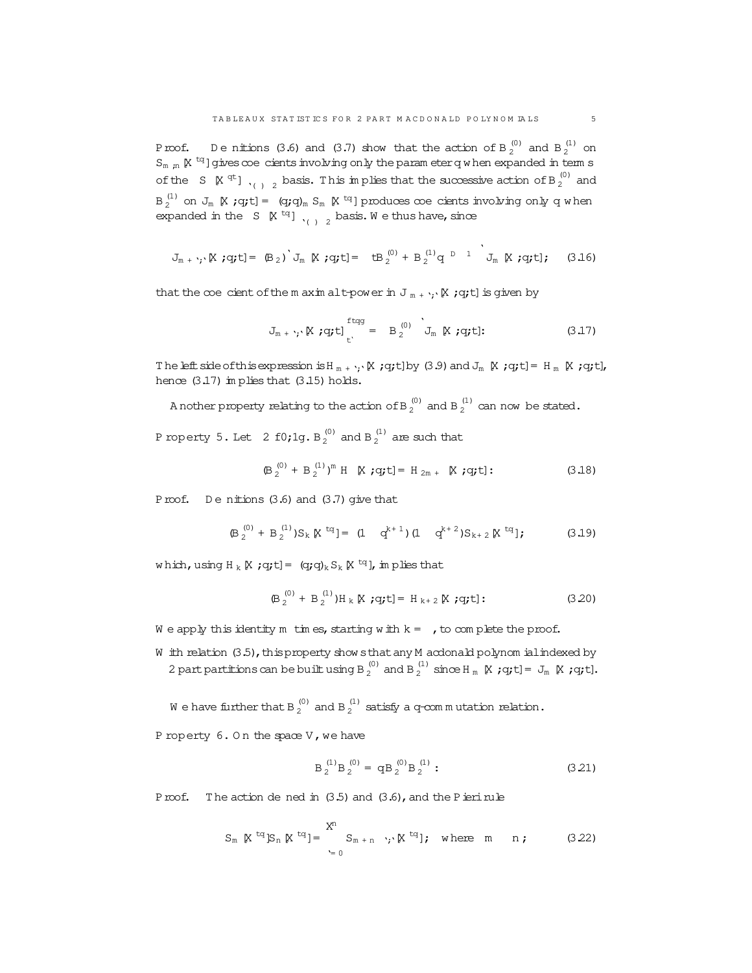Proof. Denitions (3.6) and (3.7) show that the action of B  $_2^{(0)}$  and B  $_2^{(1)}$  on  $S_{m, n}$   $K$  <sup>tq</sup>]gives  $\infty$ e cients involving only the param eter q w hen expanded in term s of the S  $\lbrack X \rbrack^{qt}$ ],  $\begin{bmatrix} 0 \\ 1 \end{bmatrix}$  basis. This implies that the successive action of B  $_2^{(0)}$  and  $B_2^{(1)}$  on  $J_m$   $K$  ;  $q$ ;t] =  $(q;q)_m$   $S_m$   $K$   $^{tq}$ ] produces coe cients involving only  $q$  when expanded in the S  $\mathbb{K}$  <sup>tq</sup>]  $\frac{1}{(1-2)}$  basis. We thus have, since

$$
J_{m + \gamma} \times \gamma g(t) = (B_2)^{\gamma} J_m \times \gamma g(t) = (B_2^{(0)} + B_2^{(1)} q^{-D-1}) J_m \times \gamma g(t); \quad (3.16)
$$

that the coecient of the m axim alt-power in  $J_{m + ';'}[X; q; t]$  is given by

$$
J_{m + \gamma} \times \text{ygt}^{\text{ftqg}}_{t} = B_2^{(0)} \quad J_m \times \text{ygt};
$$
 (3.17)

The left side of this expression is  $H_m + \cdots K$ ; q;t]by (3.9) and  $J_m K$ ; q;t]=  $H_m K$ ; q;t], hence  $(3.17)$  im plies that  $(3.15)$  holds.

A nother property relating to the action of B  $_2^{(0)}$  and B  $_2^{(1)}$  can now be stated.

P roperty 5. Let  $2$  f0;1g. B $_2^{(0)}$  and B $_2^{(1)}$  are such that

$$
(B_2^{(0)} + B_2^{(1)})^m
$$
 H [X;q;t] = H<sub>2m</sub> + [X;q;t]: (3.18)

Proof. Denitions  $(3.6)$  and  $(3.7)$  give that

$$
(\mathsf{B}_2^{(0)} + \mathsf{B}_2^{(1)}) \mathsf{S}_k \, \mathbb{K}^{\mathrm{tq}} = (1 \quad q^{k+1}) \, (1 \quad q^{k+2}) \mathsf{S}_{k+2} \, \mathbb{K}^{\mathrm{tq}} \, \mathsf{I}; \tag{3.19}
$$

which,using H  $_{\rm k}$  [X ;q;t]= (q;q) $_{\rm k}$  S  $_{\rm k}$  [X  $^{\rm tq}$ ], in plies that

$$
(\mathsf{B}_{2}^{(0)} + \mathsf{B}_{2}^{(1)})\mathsf{H}_{k} \boxtimes \mathsf{q;t} = \mathsf{H}_{k+2} \boxtimes \mathsf{q;t}:\tag{3.20}
$$

We apply this identity m times, starting with  $k = 1$ , to complete the proof.

W ith relation (3.5), this property show sthat any M acdonald polynom ialindexed by 2 part partitions can be built using B  $_2^{(0)}$  and B  $_2^{(1)}$  since H  $_{\text{m}}$  K ;q;t] = J<sub>m</sub> K ;q;t].

W e have further that B  $_2^{(0)}$  and B  $_2^{(1)}$  satisfy a q-commutation relation.

P roperty  $6.$  On the space  $V$ , we have

$$
B_2^{(1)}B_2^{(0)} = qB_2^{(0)}B_2^{(1)}:
$$
\n(3.21)

Proof. The action de ned in  $(3.5)$  and  $(3.6)$ , and the Pierinule

$$
S_{m} \times {}^{tq}S_{n} \times {}^{tq}J = \sum_{k=0}^{X^{n}} S_{m+n} \cdot k^{k} \times {}^{tq}J; \text{ where } m \text{ } n \text{ ; } \qquad (3.22)
$$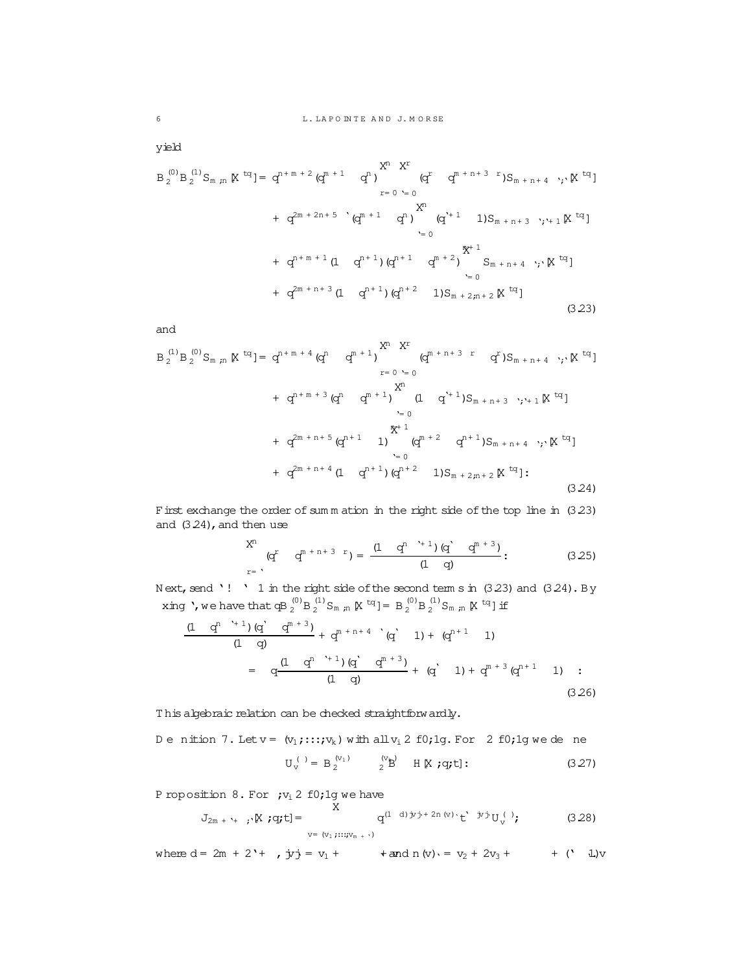yield

$$
B_{2}^{(0)}B_{2}^{(1)}S_{m,m} \times {}^{tq}J = q^{n+m+2} (q^{m+1} q^{n}) \times {}^{r}C_{1}^{(m+n+3)} S_{m+n+4} \cdots {}^{r}N {}^{tq}J
$$
  
+  $q^{2m+2n+5} (q^{m+1} q^{n}) \times {}^{r}C_{1}^{(m+n+1)} S_{m+n+3} \cdots {}^{r}C_{1}^{(m+n+2)} S_{m+n+3} \cdots {}^{r}C_{1}^{(m+n+1)} S_{1}^{(m+n+1)} S_{1}^{(m+n+1)} S_{1}^{(m+n+1)} S_{1}^{(m+n+1)} S_{1}^{(m+n+1)} S_{1}^{(m+n+1)} S_{1}^{(m+n+1)} S_{1}^{(m+n+1)} S_{1}^{(m+n+1)} S_{1}^{(m+n+1)} S_{1}^{(m+n+1)} S_{1}^{(m+n+1)} S_{1}^{(m+n+1)} S_{1}^{(m+n+1)} S_{1}^{(m+n+1)} S_{1}^{(m+n+1)} S_{1}^{(m+n+1)} S_{1}^{(m+n+1)} S_{1}^{(m+n+1)} S_{1}^{(m+n+1)} S_{1}^{(m+n+1)} S_{1}^{(m+n+1)} S_{1}^{(m+n+1)} S_{1}^{(m+n+1)} S_{1}^{(m+n+1)} S_{1}^{(m+n+1)} S_{1}^{(m+n+1)} S_{1}^{(m+n+1)} S_{1}^{(m+n+1)} S_{1}^{(m+n+1)} S_{1}^{(m+n+1)} S_{1}^{(m+n+1)} S_{1}^{(m+n+1)} S_{1}^{(m+n+1)} S_{1}^{(m+n+1)} S_{1}^{(m+n+1)} S_{1}^{(m+n+1)} S_{1}^{(m+n+1)} S_{1}^{(m+n+1)} S_{1}^{(m+n+1)} S_{1}^{(m+n+1)} S_{1}^{(m+n+1)} S_{1}^{(m+n+1)} S_{1}^{(m+n+1)} S_{1}^{(m+n+1)} S_{1}^{(m+n+1)} S_{1}^{(m+n+1)} S_{1}^{(m+n+1)} S_{1}^{(m+n+1)} S_{1}^{(m+n+1)} S_{1}^{(m+n+1)} S_{1}^{(m+n+1)} S_{1}^{$ 

and

$$
B_{2}^{(1)}B_{2}^{(0)}S_{m,n} \times {}^{tq}J = q^{n+m+4} (q^{n} q^{m+1}) \sum_{r=0 \text{ s}=0}^{X^{n} X^{r}} (q^{m+n+3} r q^{r})S_{m+n+4} \cdot ; \times K {}^{tq}J
$$
  
+  $q^{n+m+3} (q^{n} q^{m+1}) \qquad (1 \text{ q}^{r+1})S_{m+n+3} \cdot ; \times_{1} 1 \times {}^{tq}J$   
+  $q^{2m+n+5} (q^{n+1} 1) \qquad (q^{m+2} q^{n+1})S_{m+n+4} \cdot ; \times K {}^{tq}J$   
+  $q^{2m+n+4} (1 \text{ q}^{n+1}) (q^{n+2} 1)S_{m+2,n+2} \times {}^{tq}J$  (3.24)

First exchange the order of sum m ation in the right side of the top line in  $(3.23)$ and  $(3.24)$ , and then use

$$
\begin{array}{cc}\nX^n & (q^r & q^{m+n+3-r}) = \frac{(1 - q^{n-r+1})(q^r - q^{m+3})}{(1 - q)}: & (3.25)\n\end{array}
$$

N ext, send '! ' 1 in the right side of the second term s in  $(3.23)$  and  $(3.24)$ . By xing ', we have that qB  $_2^{(0)}$ B  $_2^{(1)}$ S<sub>m, m</sub> K<sup>tq</sup>] = B  $_2^{(0)}$ B  $_2^{(1)}$ S<sub>m, m</sub> K<sup>tq</sup>] if

$$
\frac{(1 \t q^{n^2+1}) (q^2 \t q^{n+3})}{(1 \t q)} + q^{n+n+4} (q^2 \t 1) + (q^{n+1} \t 1)
$$
\n
$$
= q \frac{(1 \t q^{n^2+1}) (q^2 \t q^{n+3})}{(1 \t q)} + (q^2 \t 1) + q^{n+3} (q^{n+1} \t 1) :
$$
\n(3.26)

T his algebraic relation can be checked straightforwardly.

$$
D e \text{ nition 7. Let } v = (v_1; \dots; v_k) \text{ with all } v_i \text{ 2 f0;lg. For 2 f0;lg we de ne}
$$

$$
U_v^{(1)} = B_2^{(v_1)} \qquad {}^{(v_k)}_2 \text{ H [N ; q; t]}:
$$
(3.27)

P roposition 8. For  $;v_i \, 2 \, f0;1g$  we have

$$
J_{2m + \gamma + j} \times [q; t] = \sum_{v = (v_1, \dots, v_{m + \gamma})}^{X} q^{(1-d)j v j + 2n (v) \cdot t} t^{j} v^{(1)} v
$$
 (3.28)

where  $d = 2m + 2' +$ ,  $\dot{y}\dot{y} = v_1 +$   $\tan d n (v) = v_2 + 2v_3 +$   $\tan c$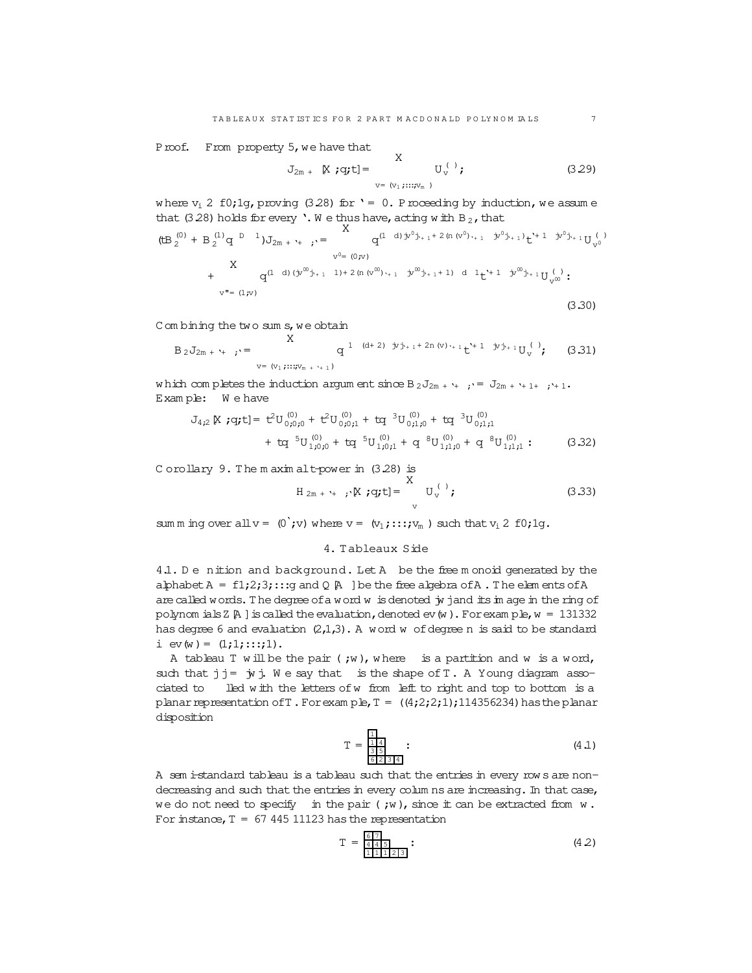Proof. From property 5, we have that

$$
J_{2m} + \mathbb{K} \text{ ;q,t]} = \n\begin{array}{cc}\nX & \text{if} \quad (3.29) \\
\text{if} \quad V_y & \text{if} \quad\n\end{array}
$$

where  $v_i$  2 f0;1g, proving (3.28) for ' = 0. Proceeding by induction, we assume that (3.28) holds for every '. W e thus have, acting w ith B  $_2$ , that

$$
(\text{tB }_{2}^{(0)} + B_{2}^{(1)}q \overset{D}{=} 1)J_{2m + \gamma_{+}} ; \cdot = \overset{\Lambda}{\underset{v^{0}= (0; v)}{\sim}} q^{(1-d) \dot{v}^{0} \dot{y}_{+1} + 2 \text{ (n (v}^{0}) \cdot_{+1} \dot{v}^{0} \dot{y}_{+1})} t^{\gamma_{+1}} \dot{v}^{0} \dot{y}_{+1} U_{v^{0}}^{(1)}
$$
\n
$$
+ \overset{\Lambda}{\underset{v^{0}= (0; v)}{\sim}} q^{(1-d) \left(\dot{y}^{00} \dot{y}_{+1} + 1\right) + 2 \left(\dot{v} \left(\dot{y}^{00} \right) \cdot_{+1} \dot{y}^{00} \dot{y}_{+1} + 1\right)} d \cdot 1} t^{\gamma_{+1}} \dot{v}^{0} \dot{y}_{+1} U_{v^{0}}^{(1)} ;
$$
\n
$$
= (1; v)
$$
\n(3.30)

C om bining the two sum s, we obtain

$$
B_2 J_{2m + \gamma_{+}} \to \begin{cases} X & q^{1 - (d+2) - jy_{j+1} + 2n (v) \cdot_{+1}} t^{\gamma_{+1} - jy_{j+1}} U_v^{(1)}; \\ v = (v_1, \dots, v_{m + \gamma_{+1}}) \end{cases} (3.31)
$$

w hich com pletes the induction argum ent since  $B_2J_{2m + '+}$ ; =  $J_{2m + '+1+}$ ; +1. Exam ple: W e have

$$
J_{4,2} \times q_t t = t^2 U_{0,0,0}^{(0)} + t^2 U_{0,0,1}^{(0)} + tq^{-3} U_{0,1,0}^{(0)} + tq^{-3} U_{0,1,1}^{(0)}
$$
  
+ 
$$
t q^{-5} U_{1,0,0}^{(0)} + tq^{-5} U_{1,0,1}^{(0)} + q^{-8} U_{1,1,0}^{(0)} + q^{-8} U_{1,1,1}^{(0)} : \qquad (3.32)
$$

C orollary 9. The m axim alt-power in (3.28) is X

$$
H_{2m + \gamma_+}, \Psi_{,\gamma}^{*} = \begin{cases} X & \text{if } U_{V}^{(1)} \text{ and } U_{V}^{(2)} & \text{if } U_{V}^{(3)} \end{cases}
$$

sum m ing over all  $v = (0; v)$  where  $v = (v_1; \ldots; v_m)$  such that  $v_i$  2 f0;1g.

## 4. Tableaux Side

4.1. De nition and background. Let A be the free m onoid generated by the alphabet  $A = f1;2;3;...;g$  and  $Q \upharpoonright A$  ] be the free algebra of A. The elem ents of A are called words. The degree of a word w is denoted jy jand its in age in the ring of polynom ials Z $A$  ] is called the evaluation, denoted ev(w). For exam ple,  $w = 131332$ has degree 6 and evaluation  $(2,1,3)$ . A word w of degree n is said to be standard i  $ev(w) = (1;1;...;1)$ .

A tableau T will be the pair  $;w)$ , where is a partition and w is a word, such that  $j = \dot{y}$  j. We say that is the shape of T. A Young diagram associated to lled w ith the letters ofw from left to right and top to bottom is a planar representation of T. For exam ple,  $T = ((4,2;2;1);114356234)$  has the planar disposition

$$
T = \frac{\frac{1}{114}}{\frac{114}{622314}} \tag{4.1}
$$

A sem i-standard tableau is a tableau such that the entries in every row s are nondecreasing and such that the entries in every columns are increasing. In that case, we do not need to specify in the pair  $(jw)$ , since it can be extracted from  $w$ . For instance,  $T = 67 445 11123$  has the representation

$$
T = \frac{\frac{6}{4} \frac{7}{4}}{\frac{1}{1} \frac{1}{1} \frac{1}{2} \frac{2}{3}} \tag{4.2}
$$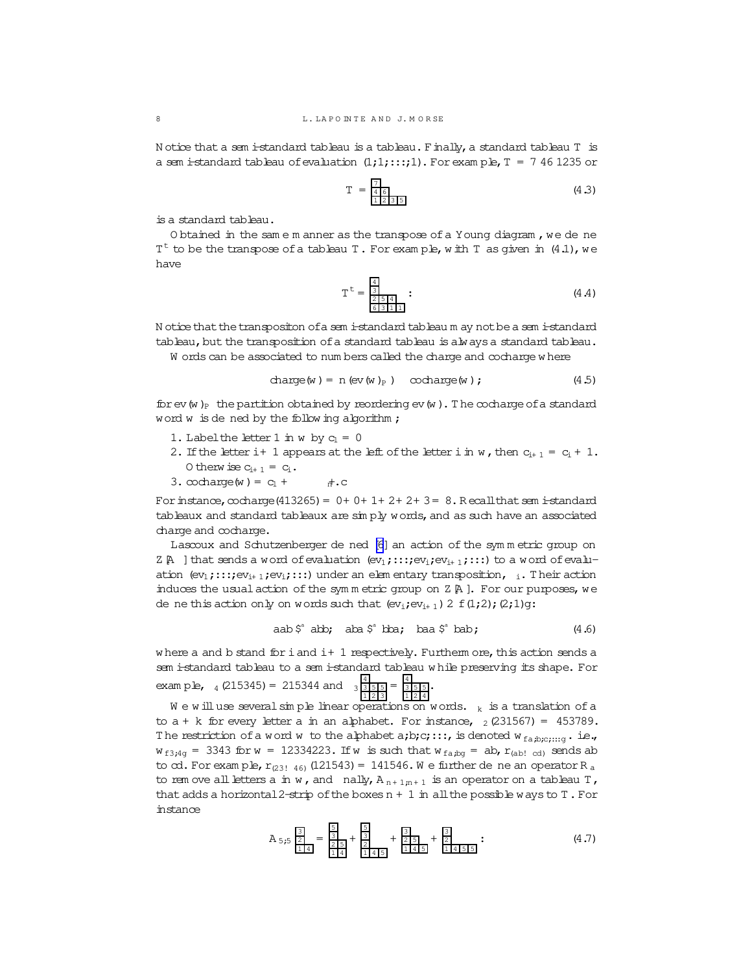Notice that a sem i-standard tableau is a tableau. Finally, a standard tableau T is a sem istandard tableau of evaluation  $(1,1; \ldots; 1)$ . For example,  $T = 7461235$  or

$$
T = \frac{7}{46} \tag{4.3}
$$

is a standard tableau.

O btained in the same m anner as the transpose of a Young diagram, we de ne  $T<sup>t</sup>$  to be the transpose of a tableau T. For example, with T as given in (4.1), we haye

$$
T^{t} = \frac{\frac{4}{3}}{\frac{2}{6} \cdot \frac{5}{3} \cdot 1 \cdot 1} \tag{4.4}
$$

N otice that the transpositon of a sem i-standard tableaum ay not be a sem i-standard tableau, but the transposition of a standard tableau is always a standard tableau.

W ords can be associated to numbers called the charge and cocharge where

$$
charge(w) = n (ev(w)_P) cocharge(w); \qquad (4.5)
$$

for ev (w)<sub>p</sub> the partition obtained by reordering ev (w). The cocharge of a standard word w is de ned by the following algorithm;

- 1. Label the letter 1 in w by  $c_1 = 0$
- 2. If the letter i+ 1 appears at the left of the letter i in w, then  $c_{i+1} = c_i + 1$ . 0 then  $x = c_{i+1} = c_i$ .
- 3. cocharge (w) =  $c_1$  +  $\pi$ .c

For instance,  $\infty$ charge(413265) = 0+0+1+2+2+3=8. Recall that sem istandard tableaux and standard tableaux are simply words, and as such have an associated charge and cocharge.

Lascoux and Schutzenberger de ned [6] an action of the symmetric group on Z  $\mathbb A$  ] that sends a word of evaluation  $(\mathrm{ev}_1; \ldots; \mathrm{ev}_i; \mathrm{ev}_{i+1}; \ldots)$  to a word of evaluation  $(ev_1; \ldots; ev_{i+1}; ev_i; \ldots)$  under an elementary transposition, i. Their action induces the usual action of the symmetric group on  $Z \upharpoonright A$  ]. For our purposes, we de ne this action only on words such that  $(ev_i; ev_{i+1})$  2  $f(1;2); (2;1)q$ :

aab
$$
\hat{s}^*
$$
abb; aba $\hat{s}^*$ bba; baa $\hat{s}^*$ bab; (4.6)

where a and b stand for i and i+ 1 respectively. Furtherm ore, this action sends a sem i-standard tableau to a sem i-standard tableau while preserving its shape. For exam p.l., 4 (215345) = 215344 and  $\frac{4}{3}$   $\frac{1}{3}$   $\frac{5}{5}$  =  $\frac{4}{3}$   $\frac{5}{12}$  =  $\frac{4}{3}$ 

We will use several simple linear operations on words.  $_k$  is a translation of a to  $a + k$  for every letter a in an alphabet. For instance,  $\frac{1}{2}$  (231567) = 453789. The restriction of a word w to the alphabet a;b;c;:::, is denoted  $w_{fa, b; c; ... q}$ . i.e.,  $w_{f3,4g}$  = 3343 for  $w = 12334223$ . If w is such that  $w_{fa,bg}$  = ab,  $r_{(ab! \text{ cd})}$  sends ab to  $\alpha$ . For example,  $r_{(231\ 46)}$  (121543) = 141546. We further de ne an operator R<sub>a</sub> to rem ove all letters a in w, and nally,  $A_{n+1,n+1}$  is an operator on a tableau T, that adds a horizontal 2-strip of the boxes  $n + 1$  in all the possible ways to T. For instance

$$
A_{5,5} \frac{\frac{3}{2}}{\frac{1}{14}} = \frac{\frac{5}{3}}{\frac{2}{14}} + \frac{\frac{5}{3}}{\frac{2}{145}} + \frac{\frac{3}{2}}{\frac{1}{145}} + \frac{\frac{3}{2}}{\frac{1}{1455}}.
$$
 (4.7)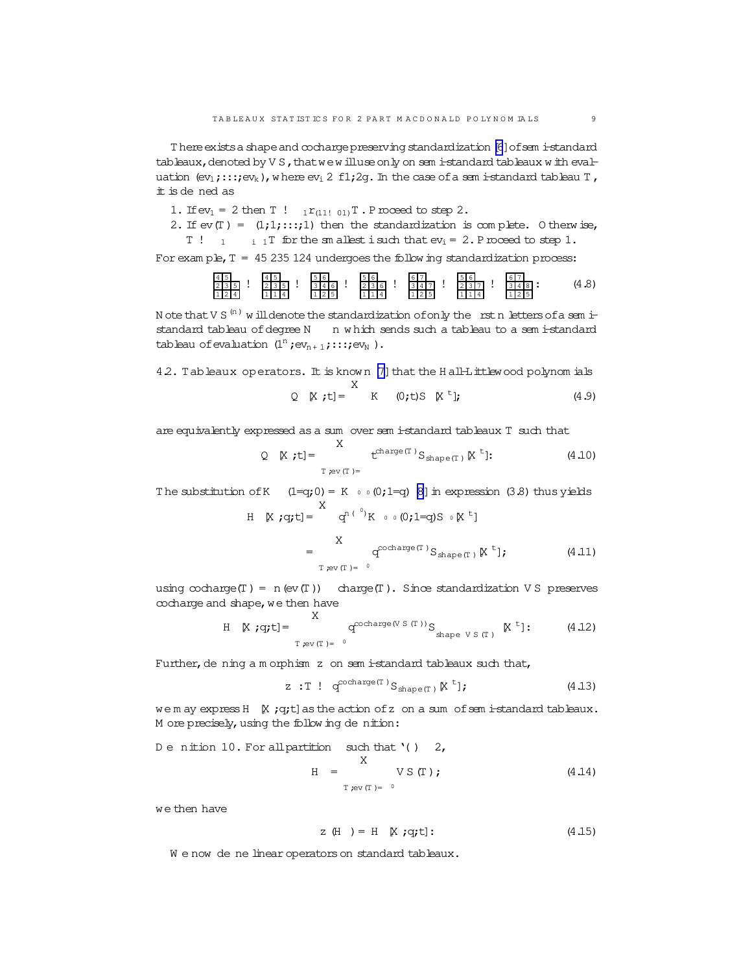There exists a shape and cocharge preserving standardization [6] of sem i-standard tableaux, denoted by VS, that we will use only on semi-standard tableaux with evaluation  $(\mathrm{ev}_1; \ldots; \mathrm{ev}_k)$ , where  $\mathrm{ev}_1$  2 f1; 2g. In the case of a semi-standard tableau T, it is de ned as

1. If  $ev_1 = 2$  then T !  $_1r_{(111, 01)}T$ . P roceed to step 2.

2. If  $ev(T) = (1,1,\ldots,1)$  then the standardization is complete. Otherwise,  $T \tbinom{1}{1}$  i T for the smallest isuch that  $ev_i = 2$ . P roceed to step 1.

For exam ple,  $T = 45235124$  undergoes the following standardization process:

N ote that V S  $^{(n)}$  w ill denote the standardization of only the rst n letters of a sem istandard tableau of degree N n which sends such a tableau to a sem istandard tableau of evaluation  $(\mathbf{1}^n\,;\mathsf{ev}_{n+1}\,;\mathsf{::}{:};\mathsf{ev}_N$  ).

42. Tableaux operators. It is known [7] that the Hall-Littlewood polynomials

$$
Q \quad K \quad t = \begin{cases} 2 & \text{if } t = 0 \end{cases} \quad \text{(9.15)} \quad \text{(1.9)}
$$

are equivalently expressed as a sum over sem i-standard tableaux T such that

The substitution of K  $(1=q;0) = K \circ (0;1=q)$  [8] in expression (3.8) thus yields

$$
H \quad [X; q; t] = \begin{cases} q^{n(^{0})}K \quad \circ \quad (0; 1=q)S \quad \circ \quad [X^t] \\ X \\ = \quad \qquad \qquad q^{\text{cocharge}(T)}S_{\text{shape}(T)} \quad [X^t]; \end{cases} \tag{4.11}
$$

using  $\text{cocharge}(T) = n(\text{ev}(T))$  charge  $(T)$ . Since standardization VS preserves cocharge and shape, we then have

H [X ;q;t]=
$$
\int_{T \text{ rev}(T) = 0}^{\infty} q^{\text{cocharge}(V S(T))} S_{\text{shape } V S(T)} [K^t]:
$$
 (4.12)

Further, de ning a m orphism z on sem i-standard tableaux such that,

$$
z : T : q^{\text{cocharge}(T)} S_{\text{shape}(T)} [X^t]; \qquad (4.13)
$$

wem ay express H [X ; q;t] as the action of z on a sum of semi-standard tableaux. M ore precisely, using the following denition:

De nition 10. For all partition such that 
$$
'( )
$$
 2,

\n $X$ 

\n $H =$ 

\n $V S(T)$ 

\n $T_{rev(T) = 0}$ 

\n(4.14)

we then have

$$
z(H) = H [X; q; t]: \qquad (4.15)
$$

We now de ne linear operators on standard tableaux.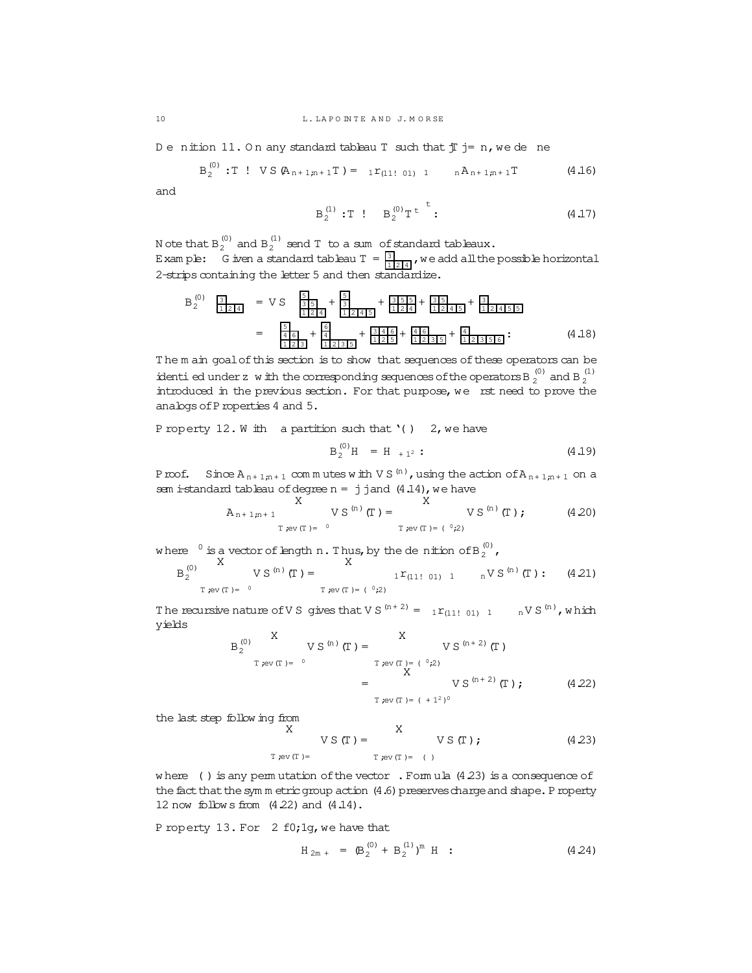Denition 11. On any standard tableau T such that  $\frac{1}{J}$  j= n, we dene

$$
B_2^{(0)} : T : V S (A_{n+1,n+1}T) = 1 r_{(11,01)} 1 n A_{n+1,n+1}T
$$
 (4.16)

and

$$
B_2^{(1)} : T : B_2^{(0)} T^t :
$$
 (4.17)

 $\ddot{+}$ 

N ote that  $B_2^{(0)}$  and  $B_2^{(1)}$  send T to a sum of standard tableaux. E xam ple:  $G$  iven a standard tableau  $T = \frac{3}{11214}$ , we add all the possible horizontal

2-strips containing the letter 5 and then standardize.

$$
B_2^{(0)} \quad \frac{3}{\frac{1}{2}\left|2\left(4\right)} = \nabla S \quad \frac{5}{\frac{3}{2}\left|5\right|} + \frac{5}{\frac{3}{2}\left|2\left(4\right)\right|} + \frac{3}{\frac{3}{2}\left|5\right|} + \frac{3}{\frac{3}{2}\left|2\left(4\right)\right|} + \frac{3}{\frac{1}{2}\left|2\left(4\right)\right|} = \frac{5}{\frac{4}{2}\left|5\right|} + \frac{5}{\frac{4}{2}\left|2\left|3\right|\left|5\right|} + \frac{3}{\frac{3}{2}\left|4\right|\left|5\right|} + \frac{3}{\frac{1}{2}\left|2\left|4\right|\left|5\right|} + \frac{3}{\frac{1}{2}\left|2\left|4\right|\left|5\right|} + \frac{3}{\frac{1}{2}\left|2\left|3\right|\left|5\right|} + \frac{3}{\frac{1}{2}\left|2\left|3\right|\left|5\right|} + \frac{3}{\frac{1}{2}\left|2\left|3\right|\left|5\right|} + \frac{3}{\frac{1}{2}\left|2\left|3\right|\left|5\right|} + \frac{3}{\frac{1}{2}\left|2\left|3\right|\left|5\right|} + \frac{3}{\frac{1}{2}\left|2\left|3\right|\left|5\right|} + \frac{3}{\frac{1}{2}\left|2\left|3\right|\left|5\right|} + \frac{3}{\frac{1}{2}\left|2\left|3\right|\left|5\right|} \right] + \frac{3}{\frac{1}{2}\left|2\left|4\left|5\right|\left|5\right|} + \frac{3}{\frac{1}{2}\left|2\left|3\right|\left|5\right|} + \frac{3}{\frac{1}{2}\left|2\left|3\right|\left|5\right|} + \frac{3}{\frac{1}{2}\left|2\left|3\right|\left|5\right|} + \frac{3}{\frac{1}{2}\left|2\left|3\right|\left|5\right|} + \frac{3}{\frac{1}{2}\left|2\left|3\right|\left|5\right|} + \frac{3}{\frac{1}{2}\left|2\left|3\right|\left|5\right|} + \frac{3}{\frac{1
$$

The m ain goal of this section is to show that sequences of these operators can be identi ed under z w ith the corresponding sequences of the operators B  $_2^{(0)}$  and B  $_2^{(1)}$ introduced in the previous section. For that purpose, we rst need to prove the analogs of P roperties 4 and 5.

P roperty 12. W ith a partition such that '( )  $2$ , we have

$$
B_2^{(0)}H = H_{+1^2} \t\t(4.19)
$$

Proof. Since  $A_{n+1,n+1}$  commutes with VS<sup>(n)</sup>, using the action of  $A_{n+1,n+1}$  on a sem istandard tableau of degree  $n = j$  j and  $(4.14)$ , we have

$$
A_{n+1,n+1} Y S^{(n)}(T) = V S^{(n)}(T) \qquad V S^{(n)}(T) ; \qquad (4.20)
$$

where  $\frac{0}{2}$  is a vector of length n. Thus, by the denition of B $_2^{(0)}$ ,

$$
B_2^{(0)} \qquad \qquad V S^{(n)}(T) = \qquad \qquad V S^{(n)}(T) = \sum_{T \neq v(T) = (0,2)}^{N} V(T) \qquad N S^{(n)}(T) : (4.21)
$$

The recursive nature of VS gives that VS  $^{(n+2)} = 1r_{(11,101)} - 1 \times N S^{(n)}$ , which yields

$$
B_2^{(0)} \n\begin{array}{ccc}\nX & V S^{(n)}(T) = & X \\
T \neq v(T) = & 0 \\
\end{array}\n\begin{array}{ccc}\nX & V S^{(n+2)}(T) \\
T \neq v(T) = & (0,2) \\
X & V S^{(n+2)}(T);\n\end{array}\n\begin{array}{ccc}\nX & V S^{(n+2)}(T) \\
Y & V S^{(n+2)}(T) & Y S^{(n+2)}(T)\n\end{array}
$$

the last step following from

$$
X \qquad V S(T) = \qquad V S(T); \qquad (4.23)
$$
  
T rev(T) = T rev(T) = (1)

where () is any permutation of the vector . Formula  $(4.23)$  is a consequence of the fact that the sym m etric group action (4.6) preserves charge and shape. P roperty 12 now follows from  $(4.22)$  and  $(4.14)$ .

P roperty 13. For 2 f0; 1g, we have that

$$
H_{2m +} = (B_2^{(0)} + B_2^{(1)})^m H
$$
 (4.24)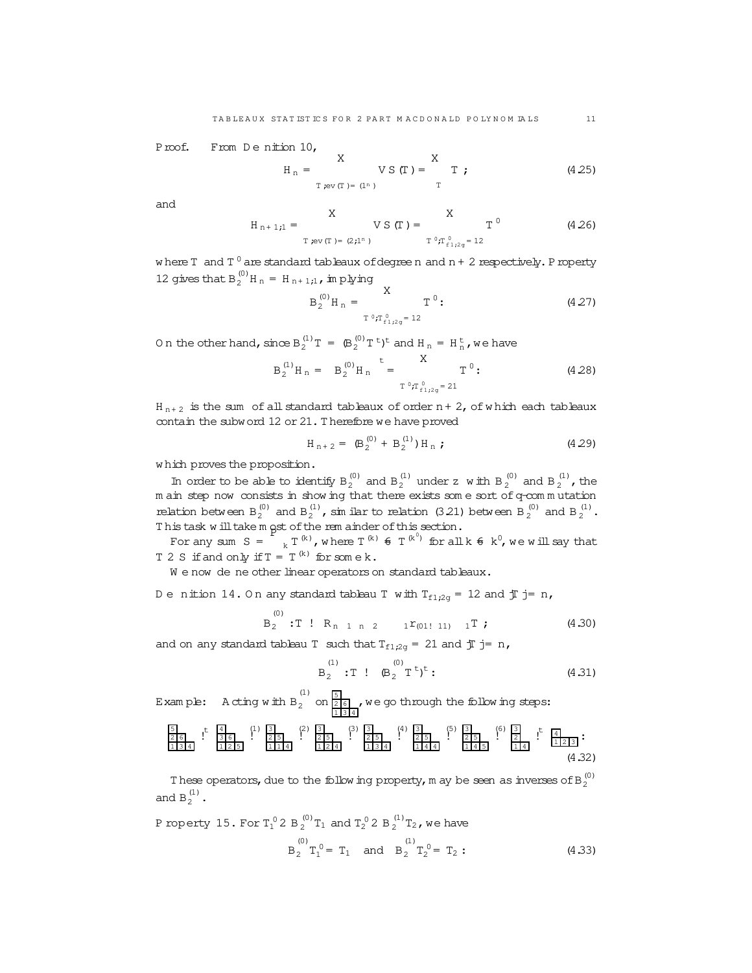Proof. From Denition 10,

$$
H_n =
$$
   
\n $X$    
\n $Y S(T) =$  T ; (4.25)  
\n $T_{rev(T) = (1^n)}$ 

and

$$
H_{n+1,1} = \n\begin{array}{c}\nX \\
Y S(T) = \n\end{array}\n\quad\n\begin{array}{c}\nX \\
T^0 T_{n+1,2} = 12\n\end{array}\n\quad (4.26)
$$

where  $T$  and  $T^0$  are standard tableaux of degree n and  $n + 2$  respectively. P roperty 12 gives that  $B_2^{(0)}H_n = H_{n+1,1}$ , in plying

$$
B_2^{(0)} H_n = \frac{X}{T^0 f_{f1;2q}^0 = 12} T^0;
$$
 (4.27)

On the other hand, since  $B_2^{(1)}T = (B_2^{(0)}T^t)^t$  and  $H_n = H_n^t$ , we have

$$
B_2^{(1)}H_n = B_2^{(0)}H_n = \frac{A}{T^{0}T^{0}_{n1,2a} = 21}
$$
 (4.28)

 $H_{n+2}$  is the sum of all standard tableaux of order n + 2, of which each tableaux contain the subword 12 or 21. Therefore we have proved

$$
H_{n+2} = \left( B_2^{(0)} + B_2^{(1)} \right) H_n ; \qquad (4.29)
$$

which proves the proposition.

In order to be able to identify  $B_2^{(0)}$  and  $B_2^{(1)}$  under z with  $B_2^{(0)}$  and  $B_2^{(1)}$ , the m ain step now consists in show ing that there exists some sort of q-commutation relation between  $B_2^{(0)}$  and  $B_2^{(1)}$ , similar to relation (3.21) between  $B_2^{(0)}$  and  $B_2^{(1)}$ . This task will take m pst of the rem ainder of this section.<br>For any sum  $S = \int_{k} T^{(k)}$ , where  $T^{(k)} \in T^{(k)}$  for all  $k \in k^0$ , we will say that

T 2 S if and only if  $T = T^{(k)}$  for some k.

We now de ne other linear operators on standard tableaux.

 $(0)$ 

Denition 14.0 n any standard tableau T with  $T_{f1,2g} = 12$  and  $T = n$ ,

$$
B_2^{\{0\}}
$$
 : T ! R<sub>n 1 n 2</sub> 1<sup>r</sup>(01! 11) 1<sup>T</sup> ; (4.30)

and on any standard tableau T such that  $T_{f1,2\alpha} = 21$  and  $T = n$ ,

$$
B_2^{(1)} : T : \mathfrak{B}_2^{(0)} T^t)^t : \tag{4.31}
$$

Example: A cting with  $B_2$  on  $\frac{5}{216}$ , we go through the following steps:



These operators, due to the following property, m ay be seen as inverses of B<sub>2</sub><sup>(0)</sup> and  $B_2^{(1)}$ .

P property 15. For 
$$
T_1^0 2 B_2^{(0)} T_1
$$
 and  $T_2^0 2 B_2^{(1)} T_2$ , we have  
\n
$$
B_2^{(0)} T_1^0 = T_1
$$
 and 
$$
B_2 T_2^0 = T_2:
$$
\n(4.33)

 $11$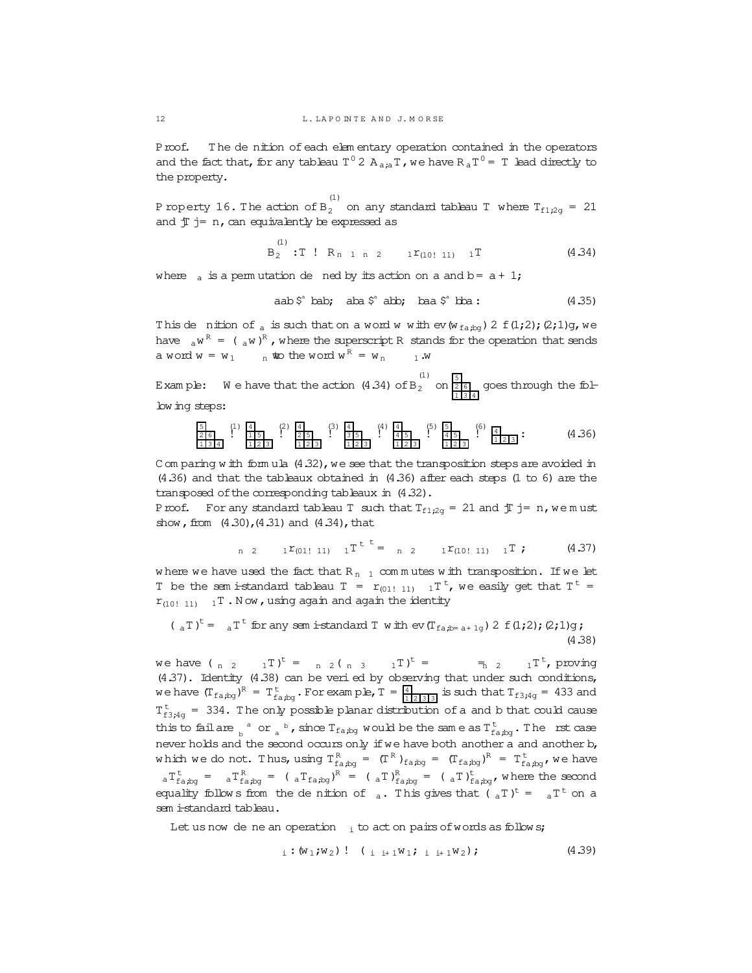Proof. The de nition of each elem entary operation contained in the operators and the fact that, for any tableau T<sup>0</sup> 2 A<sub>a;a</sub>T, we have R<sub>a</sub>T<sup>0</sup> = T lead directly to the property.

P roperty 16. The action of  $B_2^{(1)}$  on any standard tableau T where  $T_{f1;2g} = 21$ and  $\bar{\text{I}}$  j= n, can equivalently be expressed as

$$
B_2
$$
 : T :  $R_{n-1,n-2}$  1 <sup>$r$</sup> (10! 11) 1 <sup>$T$</sup>  (4.34)

where  $\alpha$  is a permutation de ned by its action on a and b =  $a + 1$ ;

(1)

aab
$$
\hat{\zeta}^a
$$
 bab; aba $\hat{\zeta}^a$ abb; baa $\hat{\zeta}^a$  bba : (4.35)

This de nition of a is such that on a word w with  $ev(w_{fa,bq}) 2 f(1;2);(2;1)g$ , we have  $a^{\mu R} = (a^{\mu})^R$ , where the superscript R stands for the operation that sends a word  $w = w_1$   $n$  **to** the word  $w^R = w_n$  1.w

Example: We have that the action  $(4.34)$  of  $B_2$  on  $\frac{51}{216}$  goes through the follow ing steps:

5 2 6 1 3 4 (1) ! 4 1 5 1 2 3 (2) ! 4 2 5 1 2 3 (3) ! 4 3 5 1 2 3 (4) ! 4 4 5 1 2 3 (5) ! 5 4 5 1 2 3 (6) ! 4 1 2 3 : (4.36)

C om paring w ith form ula  $(4.32)$ , we see that the transposition steps are avoided in (4.36) and that the tableaux obtained in (4.36) after each steps (1 to 6) are the transposed of the corresponding tableaux in  $(4.32)$ .

Proof. For any standard tableau T such that  $T_{f1:2g} = 21$  and  $T j = n$ , we must show, from  $(4.30)$ , $(4.31)$  and  $(4.34)$ , that

n 2 
$$
1\text{ }r_{(01! \ 11)} \quad 1\text{ }T^{\text{ }t=t} = n \quad 2 \quad 1\text{ }r_{(10! \ 11)} \quad 1\text{ }T \text{ ;} \tag{4.37}
$$

where we have used the fact that R<sub>n 1</sub> commutes with transposition. If we let T be the sem is tandard tableau  $T = r_{(01! 11)} 1T^t$ , we easily get that  $T^t =$  $r_{(10! 11)}$  1T. Now, using again and again the identity

$$
(\begin{array}{cc} (aT)^t = aT^t \text{ for any sem } i\text{-standard } T \text{ with ev}(T_{fa;b=a+1g}) \text{ 2 f}(1;2); (2;1)g; \text{ (4.38)} \end{array})
$$

we have (  $_{n}$   $_{2}$   $_{1}T$ )<sup>t</sup> =  $_{n}$   $_{2}$  (  $_{n}$   $_{3}$   $_{1}T$ )<sup>t</sup>  $t = \frac{1}{\pi} 2 \frac{1}{\pi} \int_{0}^{t} \text{proxing}$ (4.37). Identity (4.38) can be veri ed by observing that under such conditions, we have  $(T_{fa,bg})^R = T_{fa,bg}^t$ . For example,  $T = \frac{4}{11213131}$  is such that  $T_{f3,4g} = 433$  and  $T_{f3;4g}^{t}$  = 334. The only possible planar distribution of a and b that could cause this to fail are  $\frac{1}{b}$   $\frac{1}{a}$  or  $\frac{1}{a}$  , since  $T_{\text{fa},\text{bg}}$  would be the same as  $T_{\text{fa},\text{bg}}^{\text{t}}$ . The rst case never holds and the second occurs only if we have both another a and another b, which we do not. Thus, using  $T_{fa,bg}^R = (T^R)_{fa,bg} = (T_{fa,bg})^R = T_{fa,bg}^t$ , we have  ${}_{a}T_{\text{fa},bg}^{\text{t}} = {}_{a}T_{\text{fa},bg}^{\text{R}} = ({}_{a}T)_{\text{fa},bg}^{\text{R}} = ({}_{a}T)_{\text{fa},bg}^{\text{t}}$ , where the second equality follows from the denition of  $\alpha$ . This gives that ( $\alpha T$ )<sup>t</sup> =  $\alpha T$ <sup>t</sup> on a sem i-standard tableau.

Let us now de ne an operation  $\mathbf{i}$  to act on pairs of words as follow s;

$$
i : (w_1; w_2) : (i_{i+1}w_1; i_{i+1}w_2); \qquad (4.39)
$$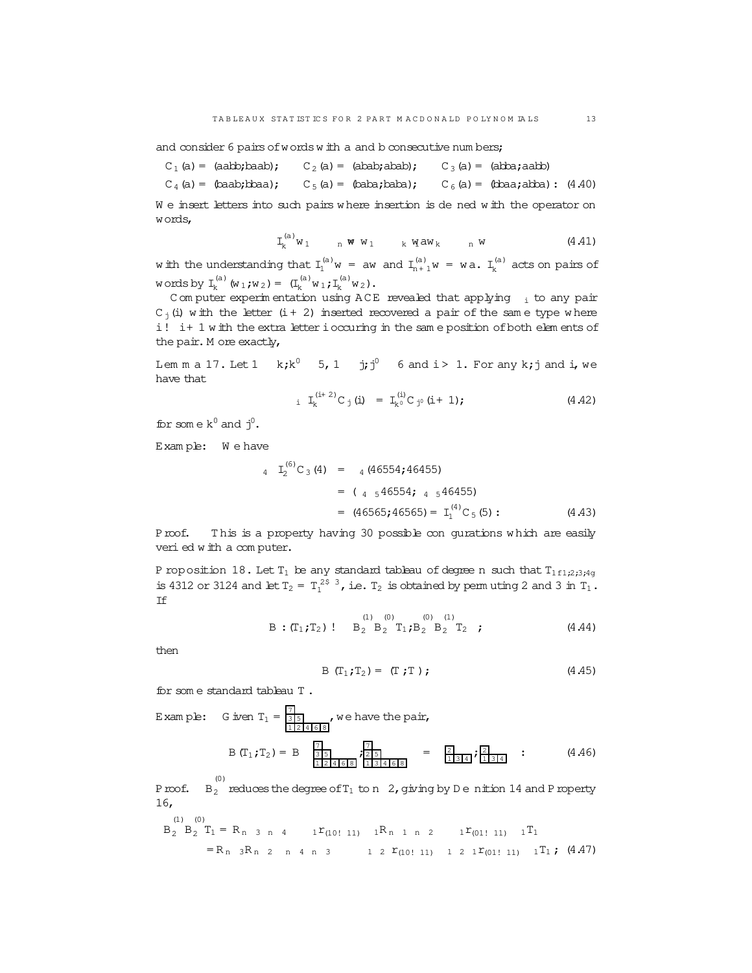and consider 6 pairs of words w ith a and b consecutive num bers;

$$
C_1(a) = (aabb;baab);
$$
  $C_2(a) = (abab;abab);$   $C_3(a) = (abba;aab)$ 

 $C_4(a)$  = (baab;bbaa);  $C_5(a)$  = (baba;baba);  $C_6(a)$  = (bbaa;abba): (4.40)

We insert letters into such pairs where insertion is de ned with the operator on words,

$$
\mathtt{I}_k^{(a)}w_1 \qquad \mathtt{w} \mathtt{w} \mathtt{v}_1 \qquad \mathtt{k} \mathtt{w} \mathtt{a} w_k \qquad \mathtt{n} \mathtt{w} \qquad \qquad (4.41)
$$

with the understanding that  $I_1^{(a)}w = aw$  and  $I_{n+1}^{(a)}w = wa$ .  $I_k^{(a)}$  $\mathbf{k}^{(a)}$  acts on pairs of words by  $I_k^{(a)}$  ${\mathfrak{m}}_{\mathsf{k}}^{(\mathsf{a})}$  (w<sub>1</sub>;w<sub>2</sub>) =  $({\mathsf{I}}_{\mathsf{k}}^{(\mathsf{a})})$  $k^{(a)}w_1;I_k^{(a)}w_2$ ).

C om puter experim entation using  $ACE$  revealed that applying  $\frac{1}{1}$  to any pair  $C_i(i)$  w ith the letter (i+2) inserted recovered a pair of the same type where i! i+ 1 w ith the extra letter ioccuring in the same position of both elem ents of the pair. M ore exactly,

Lem m a 17. Let  $1$  k;k<sup>0</sup> 5, 1 j;j<sup>0</sup> 6 and i > 1. For any k;j and i, we have that

$$
i \quad L_k^{(i+2)} C_j \ (i) \quad = \quad L_k^{(i)} C_{j^0} \ (i+1); \tag{4.42}
$$

for some  $k^0$  and  $j^0$ .

Exam ple: W e have

$$
I_2^{(6)}C_3(4) = {}_4(46554; 46455)
$$
  
=  $( {}_4 {}_546554; {}_4 {}_546455)$   
=  $(46565; 46565) = I_1^{(4)}C_5(5)$ : (4.43)

Proof. This is a property having 30 possible con gurations which are easily veried w ith a com puter.

P roposition 18. Let  $T_1$  be any standard tableau of degree n such that  $T_{1f1;2;3;4q}$ is 4312 or 3124 and let  $T_2 = T_1^{25/3}$ , i.e.  $T_2$  is obtained by permuting 2 and 3 in  $T_1$ . If

$$
B:(T_1;T_2): B_2 B_2 T_1; B_2 B_2 T_2 ; \qquad (4.44)
$$

then

$$
B (T_1; T_2) = (T; T); \qquad (4.45)
$$

for som e standard tableau T .

Example: G is an 
$$
T_1 = \frac{7}{3 \cdot 5}
$$
, we have the pair,  
\n
$$
B(T_1; T_2) = B \begin{bmatrix} \frac{7}{3 \cdot 5} \\ \frac{1}{12 \cdot 4 \cdot 6 \cdot 8} \end{bmatrix}, \text{ we have the pair,}
$$
\n
$$
B(T_1; T_2) = B \begin{bmatrix} \frac{7}{3 \cdot 5} \\ \frac{1}{12 \cdot 4 \cdot 6 \cdot 8} \end{bmatrix}, \frac{\frac{7}{7}}{\frac{1}{12 \cdot 3 \cdot 4 \cdot 6 \cdot 8}} = \frac{2}{1 \cdot 3 \cdot 4} \cdot \frac{4}{1 \cdot 3 \cdot 4 \cdot 8} \cdot (4.46)
$$

Proof. B<sub>2</sub> reduces the degree of T<sub>1</sub> to n 2, giving by D e nition 14 and Property 16,

$$
B_2 \n B_2 \n T_1 = R_{n-3} \n A_1 \n T_{(10! 11)} \n 1R_{n-1} \n 1 \n 2 \n 1 \n T_{(01! 11)} \n 1 \n T_1
$$
\n
$$
= R_{n-3} R_{n-2} \n 1 \n 1 \n 1 \n 2 \n T_{(10! 11)} \n 1 \n 2 \n 1 \n T_{(01! 11)} \n 1 \n T_1 \n (4.47)
$$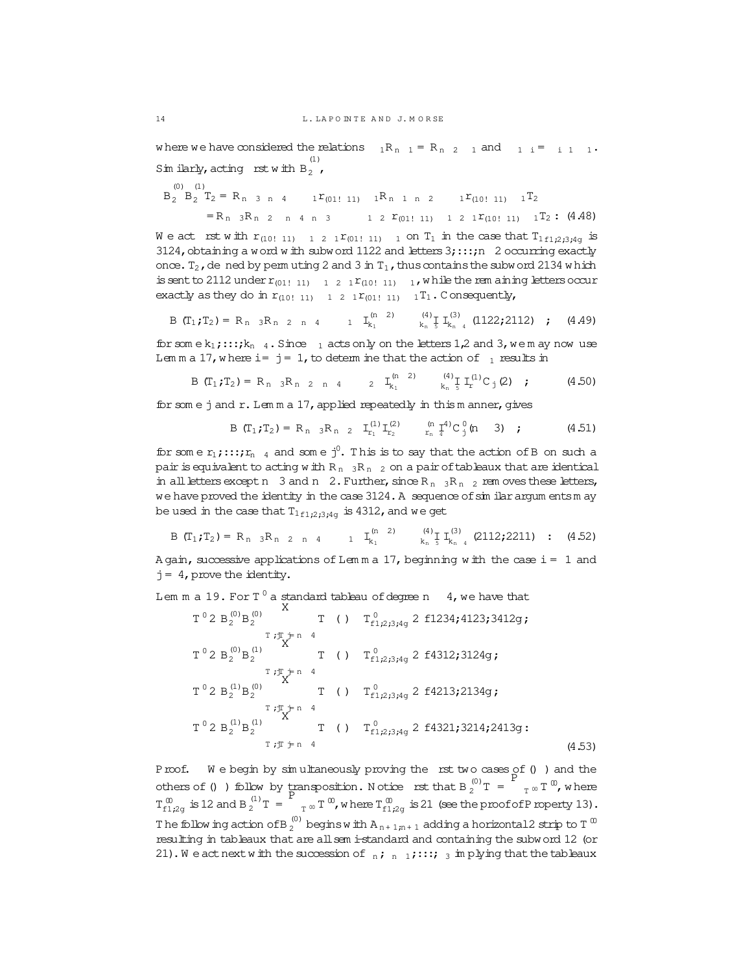where we have considered the relations  ${}_{1}R_{n-1} = R_{n-2} - 1$  and  ${}_{1}i = i 1 - 1$ . Sim ilarly, acting rst with  $B_2$ ,

 $(0)$   $(1)$  $B_2$   $B_2$   $T_2 = R_n$  3 n 4 1  $T_{(011 \ 11)}$  1  $R_n$  1 n 2 1  $T_{(101 \ 11)}$  1  $T_2$  $=R_{n}{}_{3}R_{n}{}_{2}{}_{n}{}_{4}{}_{n}{}_{3}{}_{1}{}_{2}{}_{1}{}_{2}{}_{1}{}_{2}{}_{011}{}_{11}{}_{11}{}_{1}{}_{2}{}_{1}{}_{1}{}_{101}{}_{11}{}_{11}{}_{1}{}_{1}{}_{1}{}_{2}$ : (4.48)

We act rst with  $r_{(10!11)}$  12  $r_{(01!11)}$  100  $T_1$  in the case that  $T_{1f1;2;3;4g}$  is 3124, obtaining a word with subword 1122 and letters  $3; \ldots; n$  2 occurring exactly once.  $T_2$ , de ned by permuting 2 and 3 in  $T_1$ , thus contains the subword 2134 which is sent to 2112 under  $r_{(011 \ 11)}$  1 2 1  $r_{(101 \ 11)}$  1, while the rem aining letters occur exactly as they do in  $r_{(10!11)}$  12  $r_{(01!11)}$  17. Consequently,

$$
B (T_1; T_2) = R_{n} 3R_{n} 2 n 4 \t I_{k_1}^{(n-2)} \t {4)} \t I_{k_n}^{(3)} \t {122;2112} ; \t (4.49)
$$

for some  $k_1$ ;::; $k_n$  4. Since 1 acts only on the letters 1,2 and 3, we may now use Lemma 17, where  $i = j = 1$ , to determ ine that the action of  $i_1$  results in

$$
B (T_1; T_2) = R_{n-3}R_{n-2-n-4} \t 2 T_{k_1}^{(n-2)} T_{k_n}^{(4)} \t T_{k}^{(1)} C_j (2) ; \t (4.50)
$$

for some j and r. Lemma 17, applied repeatedly in this manner, gives

$$
B (T_1; T_2) = R_{n} 3R_{n} 2 I_{r_1}^{(1)} I_{r_2}^{(2)} I_{r_n}^{(1)} I_{r_n}^{(2)} (n 3) ; \qquad (4.51)
$$

for some  $r_1, \ldots, r_{n-4}$  and some  $j^0$ . This is to say that the action of B on such a pair is equivalent to acting with  $R_{n}$  3 $R_{n}$  2 on a pair of tableaux that are identical in all letters except n 3 and n 2. Further, since R<sub>n 3</sub>R<sub>n 2</sub> rem oves these letters, we have proved the identity in the case 3124. A sequence of sim ilar argum ents m ay be used in the case that  $T_{1f1;2;3;4g}$  is 4312, and we get

$$
B (T_1; T_2) = R_{n-3} R_{n-2-n-4} \t 1 T_{k_1}^{(n-2)} T_{k_{n-5}}^{(4)} T_{k_{n-4}}^{(3)} (2112; 2211) : (4.52)
$$

A gain, successive applications of Lemma 17, beginning with the case  $i = 1$  and  $j = 4$ , prove the identity.

Lem m a 19. For  $T^0$  a standard tableau of degree n 4, we have that

$$
T^{0}2 B_{2}^{(0)} B_{2}^{(0)}
$$
 T (1)  $T_{f1,2,3,4g}^{0} 2 f1234;4123;3412g;$   
\n $T^{0}2 B_{2}^{(0)} B_{2}^{(1)}$  T (1)  $T_{f1,2,3,4g}^{0} 2 f4312;3124g;$   
\n $T^{0}2 B_{2}^{(1)} B_{2}^{(0)}$  T (1)  $T_{f1,2,3,4g}^{0} 2 f4213;2134g;$   
\n $T^{0}2 B_{2}^{(1)} B_{2}^{(1)}$  T (1)  $T_{f1,2,3,4g}^{0} 2 f4213;2134g;$   
\n $T^{0}2 B_{2}^{(1)} B_{2}^{(1)}$  T (1)  $T_{f1,2,3,4g}^{0} 2 f4321;3214;2413g;$   
\n $T^{0}T_{f1}f=h$  4 (4.53)

Proof. We begin by simultaneously proving the rst two cases of () ) and the others of () ) follow by transposition. Notice rst that B  $_2^{(0)}T = \frac{1}{T}T^{\infty}T^{\infty}$ , where  $T_{f1,2\sigma}^{0}$  is 12 and B<sub>2</sub><sup>(1)</sup> T =  $T_{T}^{\infty}$  T  $^{\infty}$ , where  $T_{f1,2\sigma}^{0}$  is 21 (see the proof of P roperty 13). The following action of B $_2^{(0)}$  begins with  $A_{n+1,m+1}$  adding a horizontal 2 strip to T  $^{\text{0}}$ resulting in tableaux that are all sem i-standard and containing the subword 12 (or 21). We act next with the succession of  $_n$ ;  $_n$  1; :::;  $_3$  im plying that the tableaux

 $14$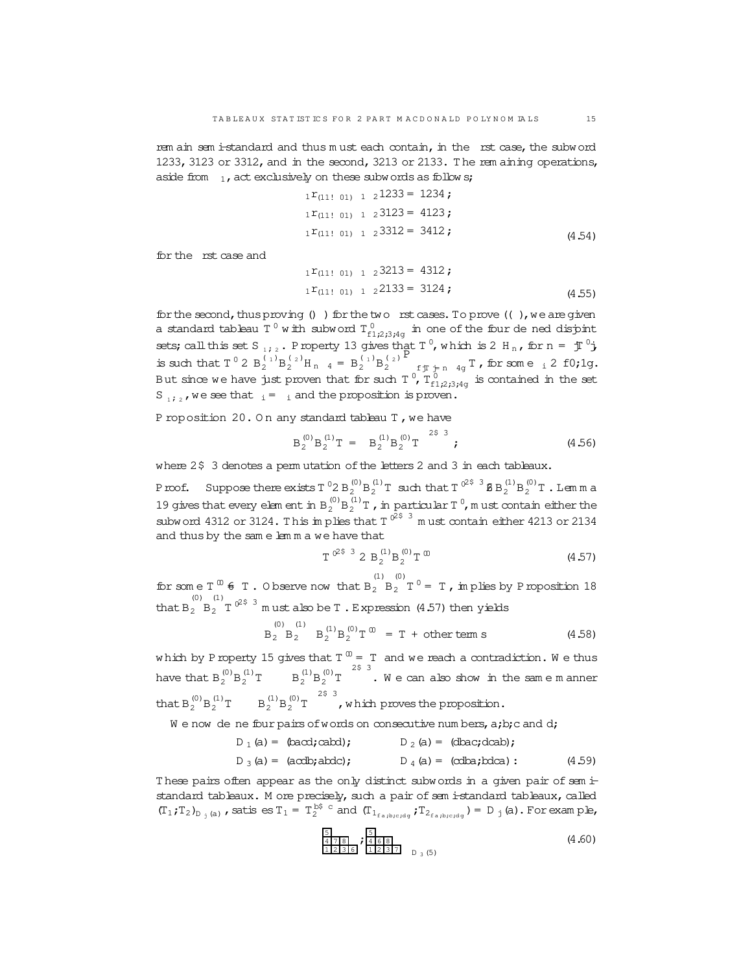rem ain sem i-standard and thus m ust each contain, in the rst case, the subword 1233, 3123 or 3312, and in the second, 3213 or 2133. The rem aining operations, aside from  $_1$ , act exclusively on these subwords as follow s;

$$
{}_{1}r_{(11! 01)} \t 1 \t 21233 = 1234 ;
$$
  
\n
$$
{}_{1}r_{(11! 01)} \t 1 \t 23123 = 4123 ;
$$
  
\n
$$
{}_{1}r_{(11! 01)} \t 1 \t 23312 = 3412 ;
$$
  
\n(4.54)

for the rst case and

$$
{}_{1}r_{(11! 01)} \t 1 \t 23213 = 4312 ;
$$
  
\n
$$
{}_{1}r_{(11! 01)} \t 1 \t 22133 = 3124 ;
$$
  
\n(4.55)

for the second, thus proving  $()$  ) for the two rst cases. To prove  $(( )$ , we are given a standard tableau T<sup>0</sup> with subword  $T_{f1;2;3;4g}^{0}$  in one of the four de ned disjoint sets; call this set S  $_{1}$ ;  $_{2}$ . Property 13 gives that T<sup>0</sup>, which is 2 H<sub>n</sub>, for n =  $\text{Tr }^{0}$ j is such that  $T^0 2 B_2^{(1)} B_2^{(2)} H_{n-4} = B_2^{(1)} B_2^{(2)}$ P  $f_{\text{f}}\bar{f}_{\text{in}}$  4g  $\text{T}$ , for some  $\frac{1}{12}$  f0;1g. But since we have just proven that for such T  $^0$ ,  $T_{\rm{f1;2;3;4g}}^{\,0}$  is contained in the set S  $_{1/2}$ , we see that  $_{1}$  =  $_{1}$  and the proposition is proven.

P roposition 20.0 n any standard tableau T, we have

$$
B_2^{(0)}B_2^{(1)}T = B_2^{(1)}B_2^{(0)}T \stackrel{25}{\phantom{}}^3;
$$
 (4.56)

where 2\$ 3 denotes a perm utation of the letters 2 and 3 in each tableaux.

Proof. Suppose there exists T  $^0 2$  B  $_2^{(0)}$  B  $_2^{(1)}$  T such that T  $^{02}$   $^3$  B B  $_2^{(1)}$  B  $_2^{(0)}$  T . Lemma 19 gives that every elem ent in  $B_2^{(0)}B_2^{(1)}$  T, in particular T  $^0$ , m ust contain either the subword 4312 or 3124. This implies that T  $^{025-3}$  must contain either 4213 or 2134 and thus by the sam e lem m a we have that

$$
T^{0^{2}\$^{3}}\ 2 B^{(1)}_{2}B^{(0)}_{2}T^{00}
$$
 (4.57)

for some  $T^{00}$   $\neq$  T. O bserve now that  $B_2^{(1)} B_2^{(0)} = T$ , in plies by P roposition 18 that  $B_2 \stackrel{(0)}{B_2}$   $T$   $0^{2}$ <sup>\$</sup>  $^3$  m ust also be T . Expression (4.57) then yields

$$
B_2 \t B_2
$$
  $B_2^{(1)} B_2^{(0)} T^{\omega} = T + \text{other term s}$  (4.58)

which by Property 15 gives that T  $^{\text{\textregistered}}$  = T and we reach a contradiction. We thus have that  $B_2^{(0)}B_2^{(1)}$  $\frac{1}{2}$  T  $\qquad$   $B_2^{(1)}B_2^{(0)}T$   $\qquad$   $\qquad$  We can also show in the same manner that  $B_2^{(0)}B_2^{(1)}$  $B_2^{(1)}$  T  $B_2^{(1)}$  B<sub>2</sub><sup>(0)</sup> T  $2^{\frac{2}{5}$  3, which proves the proposition.

We now de ne four pairs of words on consecutive num bers, a;b;c and d;

$$
D_1(a) = (bad;cabd);
$$
  $D_2(a) = (dbac;dcab);$   
\n $D_3(a) = (acdb;abcd);$   $D_4(a) = (cdba;bdca);$  (4.59)

These pairs often appear as the only distinct subwords in a given pair of sem istandard tableaux. M ore precisely, such a pair of sem i-standard tableaux, called  $(T_1;T_2)_{D_j(a)}$ , satis es  $T_1 = T_2^{b\$  c} and  $(T_{1_{fa,b;c;dg}};T_{2_{fa,b;c;dg}}) = D_j(a)$ . For example,

$$
\frac{5}{478}
$$
\n
$$
\frac{1236}{12316}
$$
\n
$$
\frac{1236}{1231}
$$
\n
$$
D_3(5)
$$
\n(4.60)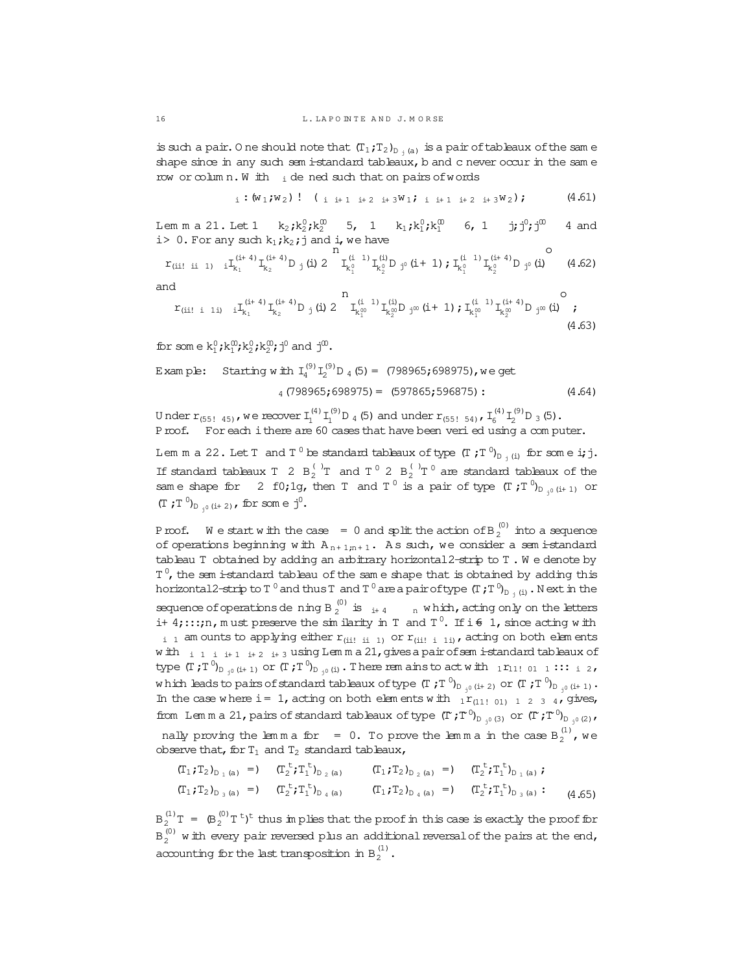is such a pair. One should note that  $(T_1, T_2)_{D_{1}(a)}$  is a pair of tableaux of the same shape since in any such sem i-standard tableaux, b and c never occur in the same row or column. W ith  $\,$ i de ned such that on pairs of words

$$
i: (w_1; w_2): (i \t i+1 \t i+2 \t i+3W_1; i \t i+1 \t i+2 \t i+3W_2); \t(4.61)
$$

Lemma 21. Let 1  $k_2; k_2^0; k_2^0$  5, 1  $k_1; k_1^0; k_1^0$  6, 1  $j; j^0; j^0$ 4 and i> 0. For any such  $k_1$ ; $k_2$ ; j and i, we have

$$
r_{(ii! \; ii \; 1)} \; iI_{k_1}^{(i+4)} I_{k_2}^{(i+4)} D_j \; (i) \; 2 \; I_{k_1^0}^{(i \; 1)} I_{k_2^0}^{(i)} D_{j^0} \; (i+1) \; ; \; I_{k_1^0}^{(i \; 1)} I_{k_2^0}^{(i+4)} D_{j^0} \; (i) \qquad (4.62)
$$

and

$$
r_{(ii! i 1 i)} \quad {}_{i}I_{k_{1}}^{(i+4)}I_{k_{2}}^{(i+4)}D_{j}^{(i)}2 \quad \stackrel{n}{I_{k_{1}^{(0)}}^{(i)}} I_{k_{2}^{(0)}}^{(i)}D_{j^{00}}(i+1) ; I_{k_{1}^{(0)}}^{(i-1)}I_{k_{2}^{(0)}}^{(i+4)}D_{j^{00}}(i) \quad \ \ (4.63)
$$

for some  $k_1^0$ ;  $k_1^0$ ;  $k_2^0$ ;  $k_2^0$ ;  $j^0$  and  $j^0$ .

Example: Starting w 
$$
\text{th } I_4^{(9)} I_2^{(9)} D_4 (5) = (798965; 698975), w = get
$$
  
4 (798965; 698975) = (597865; 596875): (4.64)

Under  $r_{(55!45)}$ , we recover  $I_1^{(4)} I_1^{(9)} D_4$  (5) and under  $r_{(55!54)}$ ,  $I_6^{(4)} I_2^{(9)} D_3$  (5). Proof. For each ithere are 60 cases that have been veried using a computer.

Lem m a 22. Let T and T<sup>0</sup> be standard tableaux of type  $(T \; ; T^0)_{D_{j}(i)}$  for some i; j. If standard tableaux T 2 B<sub>2</sub><sup>1</sup> and T<sup>0</sup> 2 B<sub>2</sub><sup>1</sup> T<sup>0</sup> are standard tableaux of the same shape for 2 f0; 1g, then T and  $T^0$  is a pair of type  $(T^0)_{D_{0,0}(i+1)}$  or  $(T;T^0)_{D_{r^0}(i+2)}$ , for some j<sup>0</sup>.

P roof. We start with the case = 0 and split the action of B<sub>2</sub><sup>(0)</sup> into a sequence of operations beginning with  $A_{n+1,m+1}$ . As such, we consider a sem i-standard tableau T obtained by adding an arbitrary horizontal 2-strip to T. We denote by  $T<sup>0</sup>$ , the sem i-standard tableau of the same shape that is obtained by adding this horizontal2-strip to T<sup>0</sup> and thus T and T<sup>0</sup> are a pair of type  $(T, T^0)_{D_{1,2}(i)}$ . Next in the sequence of operations dening B  $_2^{(0)}$  is  $_{i+4}$  n which, acting only on the letters i+ 4;:::;n, must preserve the similarity in T and  $T^0$ . If i  $6$  1, since acting with  $_{i-1}$  am ounts to applying either  $r_{(ii)}$  ii 1) or  $r_{(ii)}$  i 1i), acting on both elements with i i i i i i i  $\frac{1}{2}$  i i 3 using Lemma 21, gives a pair of semi-standard tableaux of type  $(T, T^0)_{D_{1^0}(i+1)}$  or  $(T, T^0)_{D_{1^0}(i)}$ . There rem ains to act with  $_1r_{11!011}$ :::  $_1$  2, which leads to pairs of standard tableaux of type  $(TT^0)_{D_{\gamma^0}(i+2)}$  or  $(TT^0)_{D_{\gamma^0}(i+1)}$ . In the case where i = 1, acting on both elements with  $\frac{1}{1}r_{(111-01)}$  1 2 3 4, gives, from Lemma 21, pairs of standard tableaux of type  $(T^{\prime},T^0)_{D_{\rightarrow 0}(3)}$  or  $(T^{\prime},T^0)_{D_{\rightarrow 0}(2)}$ , nally proving the lemma for = 0. To prove the lemma in the case  $B_2^{(1)}$ , we observe that, for  $T_1$  and  $T_2$  standard tableaux,

$$
(T_1; T_2)_{D_{1}(a)} = (T_2^t; T_1^t)_{D_{2}(a)} \t (T_1; T_2)_{D_{2}(a)} = (T_2^t; T_1^t)_{D_{1}(a)} ;
$$
  
\n
$$
(T_1; T_2)_{D_{3}(a)} = (T_2^t; T_1^t)_{D_{4}(a)} \t (T_1; T_2)_{D_{4}(a)} = (T_2^t; T_1^t)_{D_{3}(a)} ;
$$
 (4.65)

 $B_2^{(1)}T = (B_2^{(0)}T^t)^t$  thus in plies that the proof in this case is exactly the proof for  $B_2^{(0)}$  w ith every pair reversed plus an additional reversal of the pairs at the end, accounting for the last transposition in  $B_2^{(1)}$ .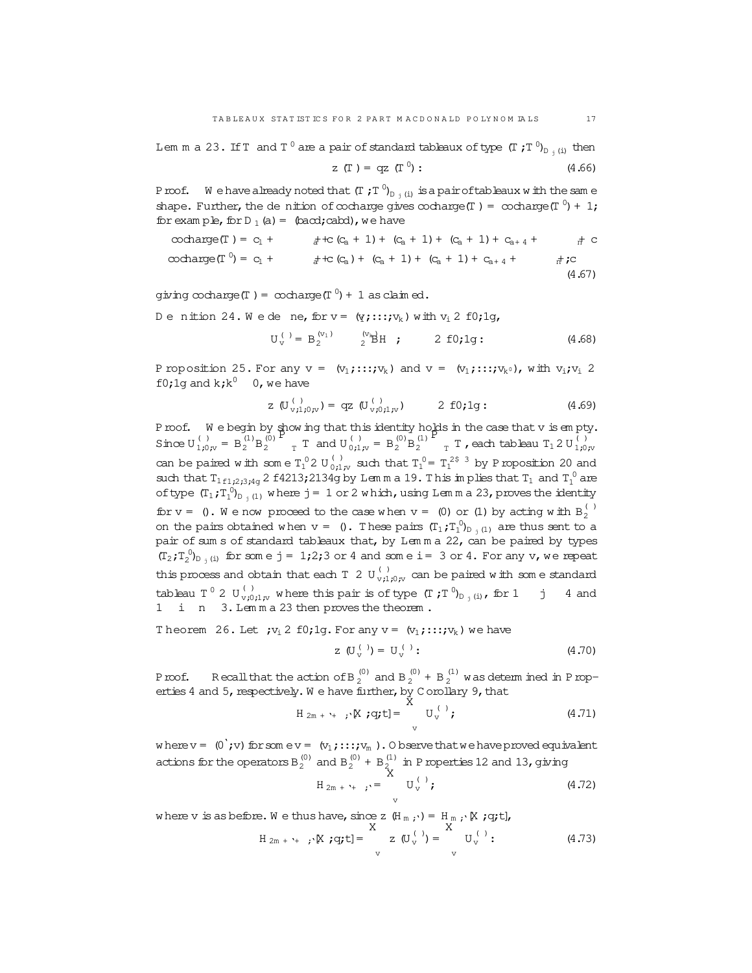Lem m a 23. If T and T  $^0$  are a pair of standard tableaux of type (T ; T  $^0{\rm p}_{\rm j\ (i)}$  then

$$
z(T) = qz(T^0)
$$
: (4.66)

Proof. We have a lready noted that  $( T \ ; T \ ^0)_{D_{-j} \ (i)}$  is a pair of tableaux with the same shape. Further, the de nition of cocharge gives cocharge( $T$ ) = cocharge( $T$ <sup>0</sup>) + 1; for example, for  $D_1(a) = (bacd;cabd)$ , we have

$$
\text{cocharge}(\Gamma) = c_1 + \quad \text{at } c(c_a + 1) + (c_a + 1) + (c_a + 1) + c_{a+4} + \quad \text{at } c
$$
\n
$$
\text{cocharge}(\Gamma^0) = c_1 + \quad \text{at } c(c_a) + (c_a + 1) + (c_a + 1) + c_{a+4} + \quad \text{at } c
$$
\n
$$
\text{(4.67)}
$$

giving cocharge (T) = cocharge (T<sup>0</sup>) + 1 as claim ed.

De nition 24. Wede ne, for  $v = (q; \ldots; v_k)$  with  $v_i$  2 f0;1g,

$$
U_v^{(1)} = B_2^{(v_1)}
$$
  ${}^{(v_n)}_{2}H$  ; 2 f0;1g : (4.68)

P roposition 25. For any  $v = (v_1; \ldots; v_k)$  and  $v = (v_1; \ldots; v_k, v_k)$ , with  $v_i; v_i \geq 2$ f0;1g and  $k; k^0$  0, we have

z 
$$
(U_{v,i,j,iv}^{(1)}) = qz
$$
  $(U_{v,i,j,iv}^{(1)})$  2 f0;1g: (4.69)

Proof. We begin by show ing that this identity holds in the case that v is empty. Since  $U_{1;0;v}^{(1)} = B_2^{(1)} B_2^{(0)}$ P T and  $U_{0;1;v}^{(1)} = B_2^{(0)} B_2^{(1)}$ P  $_{\textrm{\tiny{T}}}$  T , each tableau T $_{1}$  2 U  $_{1;0,\textrm{\tiny{IV}}}^{(+)}$ can be paired with some  $T_1^0 2 U_{0;1;v}^{(1)}$  such that  $T_1^0 = T_1^{25/3}$  by Proposition 20 and such that  $T_{1f1;2;3;4g}$  2 f4213;2134g by Lemma 19. This implies that  $T_1$  and  $T_1^0$  are of type  $(T_1; T_1^0)_{D_{-j}(1)}$  where j = 1 or 2 which, using Lemma 23, proves the identity for  $v = 0$ . We now proceed to the case when  $v = 0$  or  $(1)$  by acting with  $B_2^{(-)}$ on the pairs obtained when  $v = 0$ . These pairs  $(T_1; T_1^0)_{D_{1}(1)}$  are thus sent to a pair of sum s of standard tableaux that, by Lem m a 22, can be paired by types  $(T_2; T_2^0)_{D_j(i)}$  for some j = 1;2;3 or 4 and some i = 3 or 4. For any v, we repeat this process and obtain that each T 2  $\texttt{U}^{(+)}_{\texttt{v};1;0;\texttt{v}}$  can be paired with som e standard tableau T  $^0$  2 U  $_{\rm v;0;1;v}^{(+)}$  where this pair is of type (T;T  $^0$ )<sub>D j(i)</sub>, for 1 j 4 and 1 i n 3. Lem m a 23 then proves the theorem.

Theorem 26. Let  $;v_i 2 \text{ f0};1g.$  For any  $v = (v_1;...;v_k)$  we have

$$
z \t(U_{V}^{(1)}) = U_{V}^{(2)}: \t(4.70)
$$

Proof. Recall that the action of B  $_2^{(0)}$  and B  $_2^{(0)}$  + B  $_2^{(1)}$  was determined in Properties 4 and 5, respectively. We have further, by C orollary 9, that

$$
H_{2m + 1+}
$$
;  $[X; q; t] = \int_{V}^{0} U_{V}^{(1)};$  (4.71)

where  $v = (0, v)$  for som  $ev = (v_1, \ldots, v_m)$ . O bserve that we have proved equivalent actions for the operators  $B_2^{(0)}$  and  $B_2^{(0)} + B_2^{(1)}$  in Properties 12 and 13, giving

$$
H_{2m + \gamma_{+}} \to \sum_{v}^{X} U_{v}^{(1)};
$$
 (4.72)

where v is as before. We thus have, since z  $(H_m, \cdot) = H_m, \cdot K$  ; q;t],

$$
H_{2m + \gamma + j} \times [q; t] = \int_{V}^{t} z (U_{V}^{(i)}) = \int_{V}^{t} U_{V}^{(i)};
$$
 (4.73)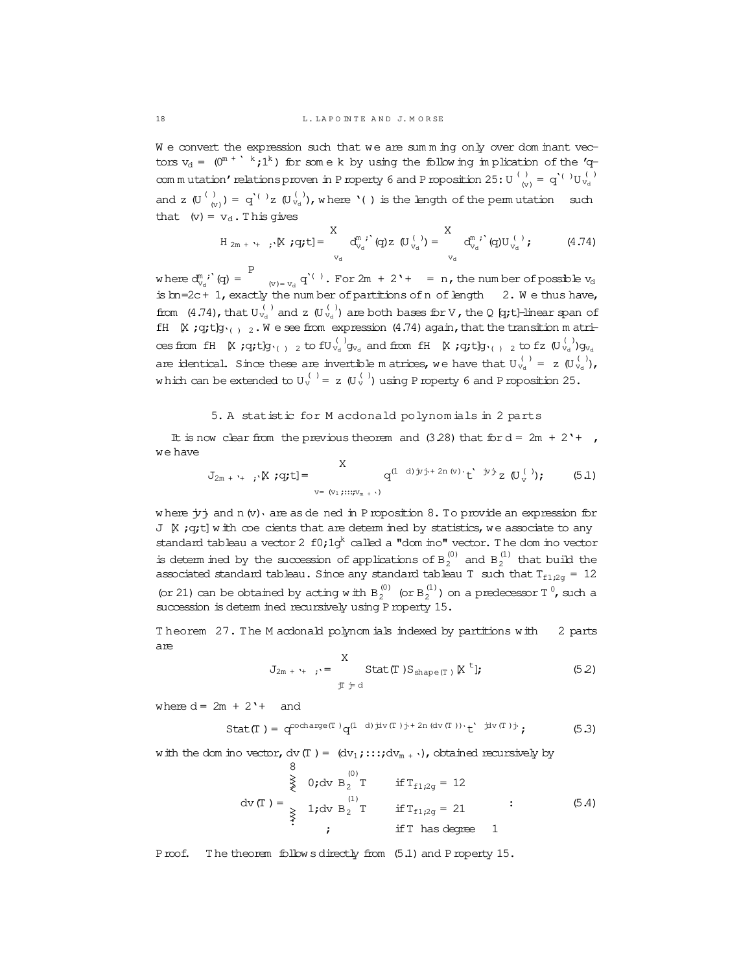We convert the expression such that we are summing only over dominant vectors  $v_d = (0^{m + \lceil k/2 \rceil})$  for some k by using the following implication of the  $v_q$ com m utation' relations proven in P roperty 6 and P roposition 25: U  $\frac{1}{10}$  $\left(\begin{smallmatrix} \mathbf{v} \end{smallmatrix}\right) \;=\; \mathbf{q'}^{\mathbf{v}(\mathbf{v})} \mathbf{U}_{\mathbf{v}_\mathrm{d}}^{\mathbf{v}(\mathbf{v})}$ and z  $(\bigcup_{i=1}^{\binom{n}{2}}$  $(v_i)(y_i) = q'(x_i)$ , where '( ) is the length of the permutation such that  $(v) = v_d$ . This gives

$$
H_{2m + \nu_{+}}, \, \nabla, \, \mathbf{g}_{j}t = \n\begin{array}{c}\nX \\
 d_{v_{d}}^{m}, \, \nabla, \, \mathbf{g}_{j}t = \n\end{array}\n\begin{array}{c}\nX \\
 d_{v_{d}}^{m}, \, \nabla, \, \mathbf{g}_{j}t = \n\end{array}\n\begin{array}{c}\nX \\
 d_{v_{d}}^{m}, \, \nabla, \, \mathbf{g}_{j}t = \n\end{array}\n\begin{array}{c}\n(4.74) \\
(4.74)\n\end{array}
$$

where  $d_{v_d}^{m, i'}(q) =$ P  $(v) = v_d$   $q'(t)$ . For  $2m + 2t + = n$ , the num ber of possible  $v_d$ is bn=2c+ 1, exactly the num ber of partitions of n of length 2. W e thus have, from (4.74), that  $U_{v_d}^{(-)}$  and z  $(U_{v_d}^{(-)})$  are both bases for V, the Q [q;t]-linear span of fH  $K$ ;q;t]g<sub>'( )</sub> 2.W e see from expression (4.74) again, that the transition m atricesfrom fH [X ;q;t]g'( ) <sup>2</sup> to fU ( ) <sup>v</sup><sup>d</sup> g<sup>v</sup><sup>d</sup> and from fH [X ;q;t]g'( ) <sup>2</sup> to fz (U ( ) <sup>v</sup><sup>d</sup> )g<sup>v</sup><sup>d</sup> are identical. Since these are invertible m atrices, we have that  $U_{v_d}^{(n)} = z U_{v_d}^{(n)}$ , which can be extended to  $U_v^{(-)} = z (U_v^{(-)})$  using Property 6 and Proposition 25.

### 5. A statistic for M acdonald polynom ials in 2 parts

It is now clear from the previous theorem and  $(3.28)$  that for  $d = 2m + 2' +$ , we have

$$
J_{2m + \gamma + \gamma} \times \text{; q; t]} = \sum_{v = (v_1, \dots, v_{m + \gamma})} q^{(1-d) \text{; y; t} + 2n \text{; w)} \cdot t^{\gamma} \text{; y; t}} z (U_v^{(1)}) \tag{5.1}
$$

where  $\dot{y}$  and n(v) are as de ned in Proposition 8. To provide an expression for  $J$   $K$ ; q;t] w ith coe cients that are determ ined by statistics, we associate to any standard tableau a vector 2  $f0;1g^k$  called a "dom ino" vector. The dom ino vector is determ ined by the succession of applications of  $B_2^{(0)}$  and  $B_2^{(1)}$  that build the associated standard tableau. Since any standard tableau T such that  $T_{f1,2g} = 12$ (or 21) can be obtained by acting with  $B_2^{(0)}$  (or  $B_2^{(1)}$ ) on a predecessor T<sup>0</sup>, such a succession is determ ined recursively using Property 15.

T heorem 27. The M acdonald polynom ials indexed by partitions with 2 parts are

$$
J_{2m + \gamma_{+}} \rightarrow \sum_{\substack{\mathcal{T} \ni d}}^X \text{Stat}(\mathcal{T}) S_{\text{shape}(\mathcal{T})} \, \mathbb{K}^{\mathcal{T}} \mathbf{I}; \tag{5.2}
$$

where  $d = 2m + 2' +$  and

$$
\text{Stat}(\mathbb{T}) = q^{\text{cocharge}(\mathbb{T})} q^{(1-d)\text{div}(\mathbb{T})\text{y} + 2n\text{ (div}(\mathbb{T})) \cdot \mathbf{t}} \text{ if } \mathbb{F}^{(1)} \text{;}
$$
 (5.3)

with the dom ino vector, dv(T) =  $(dv_1; \ldots; dv_{m+1})$ , obtained recursively by

$$
\begin{array}{ccc}\n & 8 & & (0) \\
 & \geq & 0; \text{dv } B_2 T & \text{if } T_{f1,2g} = 12 \\
 & \text{dv } (T) = & \sum_{\geq \atop \text{if } T_1 \text{dv } B_2 T} & \text{if } T_{f1,2g} = 21 \\
 & \text{if } T \text{ has degree 1}\n\end{array} \tag{5.4}
$$

Proof. The theorem follows directly from  $(5.1)$  and Property 15.